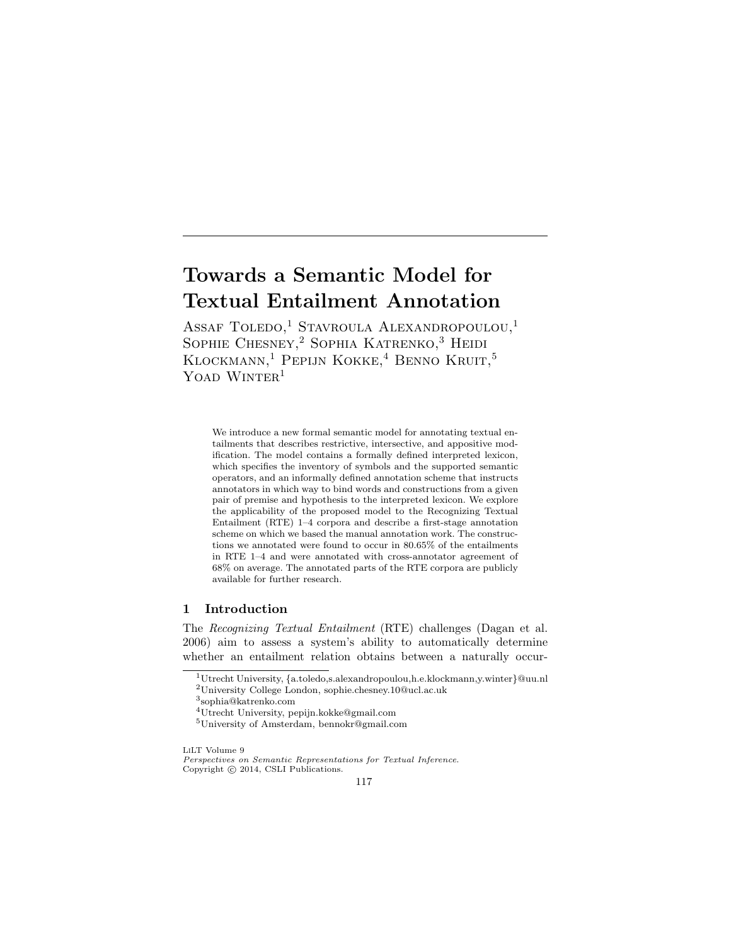# Towards a Semantic Model for Textual Entailment Annotation

ASSAF TOLEDO,<sup>1</sup> STAVROULA ALEXANDROPOULOU,<sup>1</sup> SOPHIE CHESNEY,<sup>2</sup> SOPHIA KATRENKO,<sup>3</sup> HEIDI KLOCKMANN,<sup>1</sup> Pepijn Kokke,<sup>4</sup> Benno Kruit,<sup>5</sup> YOAD WINTER $1$ 

We introduce a new formal semantic model for annotating textual entailments that describes restrictive, intersective, and appositive modification. The model contains a formally defined interpreted lexicon, which specifies the inventory of symbols and the supported semantic operators, and an informally defined annotation scheme that instructs annotators in which way to bind words and constructions from a given pair of premise and hypothesis to the interpreted lexicon. We explore the applicability of the proposed model to the Recognizing Textual Entailment (RTE) 1–4 corpora and describe a first-stage annotation scheme on which we based the manual annotation work. The constructions we annotated were found to occur in 80.65% of the entailments in RTE 1–4 and were annotated with cross-annotator agreement of 68% on average. The annotated parts of the RTE corpora are publicly available for further research.

# 1 Introduction

The *Recognizing Textual Entailment* (RTE) challenges (Dagan et al. 2006) aim to assess a system's ability to automatically determine whether an entailment relation obtains between a naturally occur-

LiLT Volume 9

*Perspectives on Semantic Representations for Textual Inference*. Copyright  $\odot$  2014, CSLI Publications.

<sup>1</sup>Utrecht University, *{*a.toledo,s.alexandropoulou,h.e.klockmann,y.winter*}*@uu.nl <sup>2</sup>University College London, sophie.chesney.10@ucl.ac.uk

 $^3\!$ sophia@katrenko.com

<sup>4</sup>Utrecht University, pepijn.kokke@gmail.com

<sup>5</sup>University of Amsterdam, bennokr@gmail.com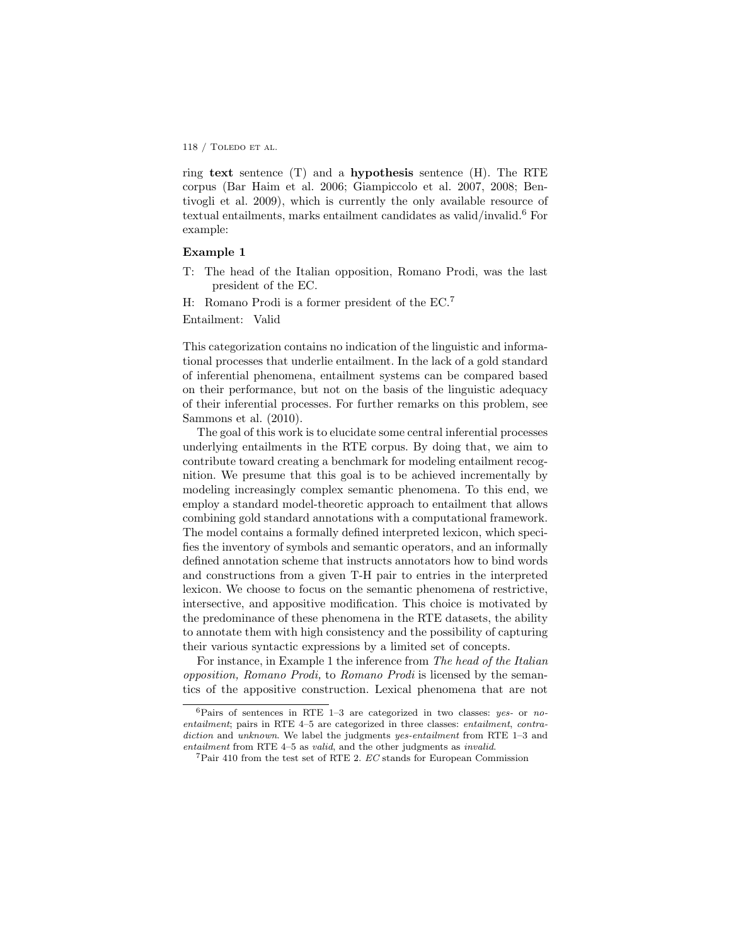ring text sentence  $(T)$  and a hypothesis sentence  $(H)$ . The RTE corpus (Bar Haim et al. 2006; Giampiccolo et al. 2007, 2008; Bentivogli et al. 2009), which is currently the only available resource of textual entailments, marks entailment candidates as valid/invalid.<sup>6</sup> For example:

## Example 1

- T: The head of the Italian opposition, Romano Prodi, was the last president of the EC.
- H: Romano Prodi is a former president of the EC.<sup>7</sup>

Entailment: Valid

This categorization contains no indication of the linguistic and informational processes that underlie entailment. In the lack of a gold standard of inferential phenomena, entailment systems can be compared based on their performance, but not on the basis of the linguistic adequacy of their inferential processes. For further remarks on this problem, see Sammons et al. (2010).

The goal of this work is to elucidate some central inferential processes underlying entailments in the RTE corpus. By doing that, we aim to contribute toward creating a benchmark for modeling entailment recognition. We presume that this goal is to be achieved incrementally by modeling increasingly complex semantic phenomena. To this end, we employ a standard model-theoretic approach to entailment that allows combining gold standard annotations with a computational framework. The model contains a formally defined interpreted lexicon, which specifies the inventory of symbols and semantic operators, and an informally defined annotation scheme that instructs annotators how to bind words and constructions from a given T-H pair to entries in the interpreted lexicon. We choose to focus on the semantic phenomena of restrictive, intersective, and appositive modification. This choice is motivated by the predominance of these phenomena in the RTE datasets, the ability to annotate them with high consistency and the possibility of capturing their various syntactic expressions by a limited set of concepts.

For instance, in Example 1 the inference from *The head of the Italian opposition, Romano Prodi,* to *Romano Prodi* is licensed by the semantics of the appositive construction. Lexical phenomena that are not

<sup>6</sup>Pairs of sentences in RTE 1–3 are categorized in two classes: *yes-* or *noentailment*; pairs in RTE 4–5 are categorized in three classes: *entailment*, *contradiction* and *unknown*. We label the judgments *yes-entailment* from RTE 1–3 and *entailment* from RTE 4–5 as *valid*, and the other judgments as *invalid*.

<sup>7</sup>Pair 410 from the test set of RTE 2. *EC* stands for European Commission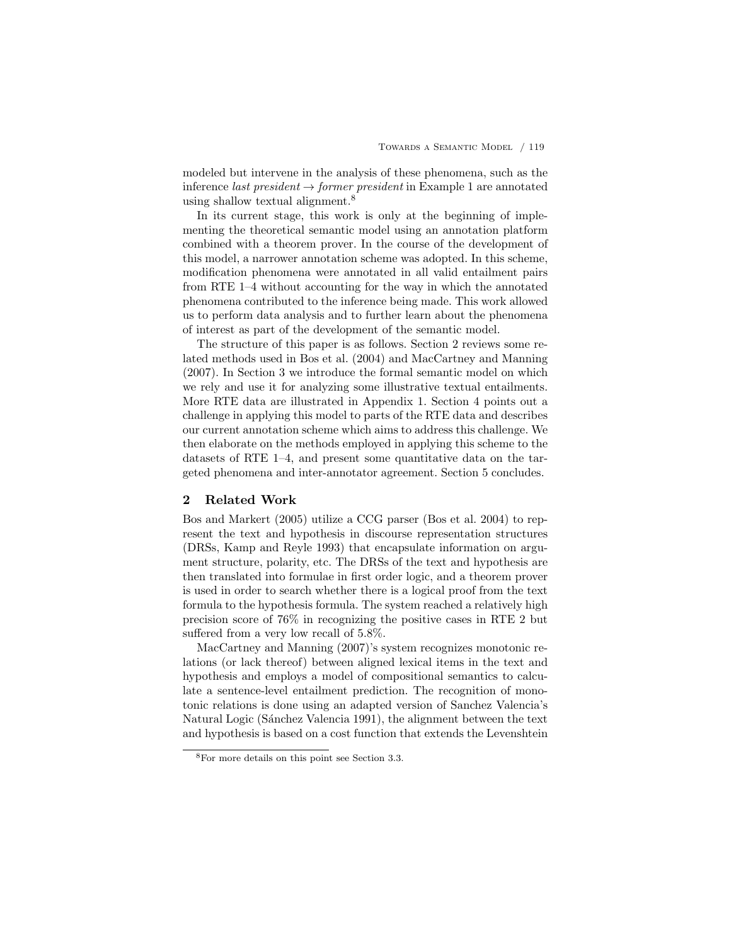modeled but intervene in the analysis of these phenomena, such as the inference *last president*  $\rightarrow$  *former president* in Example 1 are annotated using shallow textual alignment.<sup>8</sup>

In its current stage, this work is only at the beginning of implementing the theoretical semantic model using an annotation platform combined with a theorem prover. In the course of the development of this model, a narrower annotation scheme was adopted. In this scheme, modification phenomena were annotated in all valid entailment pairs from RTE 1–4 without accounting for the way in which the annotated phenomena contributed to the inference being made. This work allowed us to perform data analysis and to further learn about the phenomena of interest as part of the development of the semantic model.

The structure of this paper is as follows. Section 2 reviews some related methods used in Bos et al. (2004) and MacCartney and Manning (2007). In Section 3 we introduce the formal semantic model on which we rely and use it for analyzing some illustrative textual entailments. More RTE data are illustrated in Appendix 1. Section 4 points out a challenge in applying this model to parts of the RTE data and describes our current annotation scheme which aims to address this challenge. We then elaborate on the methods employed in applying this scheme to the datasets of RTE 1–4, and present some quantitative data on the targeted phenomena and inter-annotator agreement. Section 5 concludes.

## 2 Related Work

Bos and Markert (2005) utilize a CCG parser (Bos et al. 2004) to represent the text and hypothesis in discourse representation structures (DRSs, Kamp and Reyle 1993) that encapsulate information on argument structure, polarity, etc. The DRSs of the text and hypothesis are then translated into formulae in first order logic, and a theorem prover is used in order to search whether there is a logical proof from the text formula to the hypothesis formula. The system reached a relatively high precision score of 76% in recognizing the positive cases in RTE 2 but suffered from a very low recall of  $5.8\%$ .

MacCartney and Manning (2007)'s system recognizes monotonic relations (or lack thereof) between aligned lexical items in the text and hypothesis and employs a model of compositional semantics to calculate a sentence-level entailment prediction. The recognition of monotonic relations is done using an adapted version of Sanchez Valencia's Natural Logic (Sánchez Valencia 1991), the alignment between the text and hypothesis is based on a cost function that extends the Levenshtein

<sup>8</sup>For more details on this point see Section 3.3.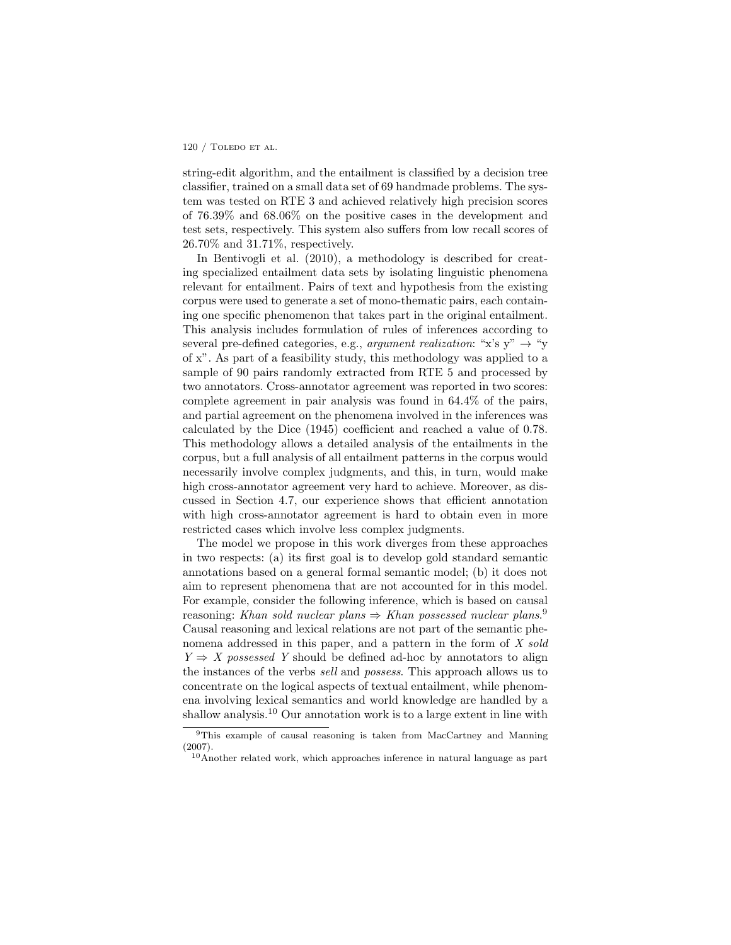string-edit algorithm, and the entailment is classified by a decision tree classifier, trained on a small data set of 69 handmade problems. The system was tested on RTE 3 and achieved relatively high precision scores of 76.39% and 68.06% on the positive cases in the development and test sets, respectively. This system also suffers from low recall scores of 26.70% and 31.71%, respectively.

In Bentivogli et al. (2010), a methodology is described for creating specialized entailment data sets by isolating linguistic phenomena relevant for entailment. Pairs of text and hypothesis from the existing corpus were used to generate a set of mono-thematic pairs, each containing one specific phenomenon that takes part in the original entailment. This analysis includes formulation of rules of inferences according to several pre-defined categories, e.g., *argument realization*: "x's y"  $\rightarrow$  "y of x". As part of a feasibility study, this methodology was applied to a sample of 90 pairs randomly extracted from RTE 5 and processed by two annotators. Cross-annotator agreement was reported in two scores: complete agreement in pair analysis was found in 64.4% of the pairs, and partial agreement on the phenomena involved in the inferences was calculated by the Dice  $(1945)$  coefficient and reached a value of 0.78. This methodology allows a detailed analysis of the entailments in the corpus, but a full analysis of all entailment patterns in the corpus would necessarily involve complex judgments, and this, in turn, would make high cross-annotator agreement very hard to achieve. Moreover, as discussed in Section 4.7, our experience shows that efficient annotation with high cross-annotator agreement is hard to obtain even in more restricted cases which involve less complex judgments.

The model we propose in this work diverges from these approaches in two respects: (a) its first goal is to develop gold standard semantic annotations based on a general formal semantic model; (b) it does not aim to represent phenomena that are not accounted for in this model. For example, consider the following inference, which is based on causal reasoning: *Khan sold nuclear plans*  $\Rightarrow$  *Khan possessed nuclear plans*.<sup>9</sup> Causal reasoning and lexical relations are not part of the semantic phenomena addressed in this paper, and a pattern in the form of *X sold*  $Y \Rightarrow X$  possessed Y should be defined ad-hoc by annotators to align the instances of the verbs *sell* and *possess*. This approach allows us to concentrate on the logical aspects of textual entailment, while phenomena involving lexical semantics and world knowledge are handled by a shallow analysis.<sup>10</sup> Our annotation work is to a large extent in line with

<sup>&</sup>lt;sup>9</sup>This example of causal reasoning is taken from MacCartney and Manning (2007).

<sup>&</sup>lt;sup>10</sup>Another related work, which approaches inference in natural language as part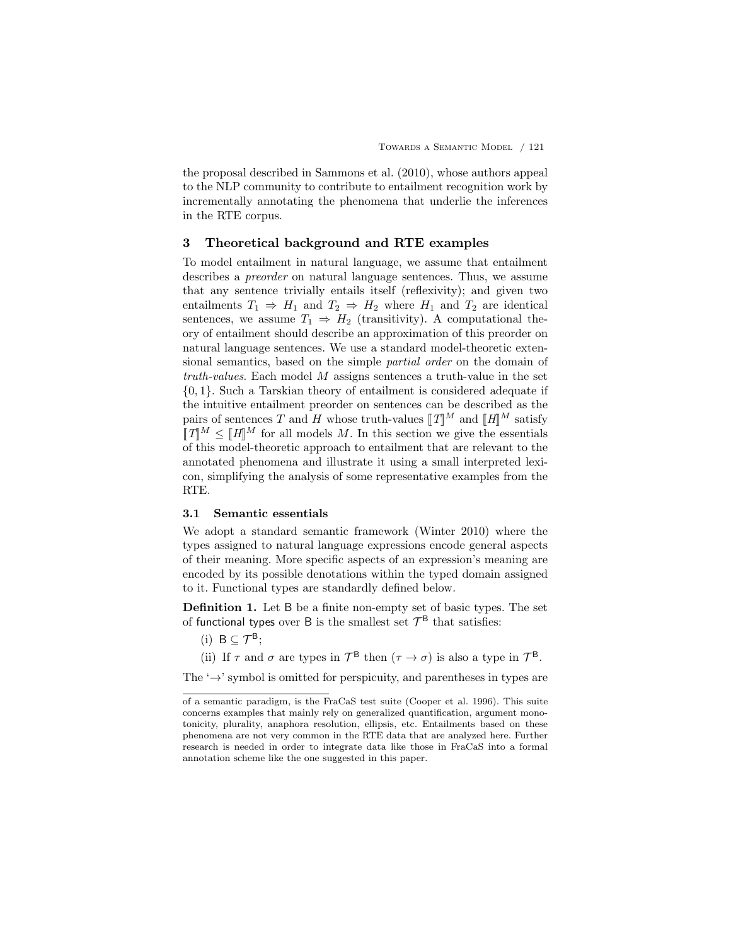the proposal described in Sammons et al. (2010), whose authors appeal to the NLP community to contribute to entailment recognition work by incrementally annotating the phenomena that underlie the inferences in the RTE corpus.

# 3 Theoretical background and RTE examples

To model entailment in natural language, we assume that entailment describes a *preorder* on natural language sentences. Thus, we assume that any sentence trivially entails itself (reflexivity); and given two entailments  $T_1 \Rightarrow H_1$  and  $T_2 \Rightarrow H_2$  where  $H_1$  and  $T_2$  are identical sentences, we assume  $T_1 \Rightarrow H_2$  (transitivity). A computational theory of entailment should describe an approximation of this preorder on natural language sentences. We use a standard model-theoretic extensional semantics, based on the simple *partial order* on the domain of *truth-values*. Each model *M* assigns sentences a truth-value in the set *{*0*,* 1*}*. Such a Tarskian theory of entailment is considered adequate if the intuitive entailment preorder on sentences can be described as the pairs of sentences *T* and *H* whose truth-values  $\llbracket T \rrbracket^M$  and  $\llbracket H \rrbracket^M$  satisfy  $[[T]^{M} \leq [[H]^{M}]^{M}$  for all models M. In this section we give the essentials of this model-theoretic approach to entailment that are relevant to the annotated phenomena and illustrate it using a small interpreted lexicon, simplifying the analysis of some representative examples from the RTE.

# 3.1 Semantic essentials

We adopt a standard semantic framework (Winter 2010) where the types assigned to natural language expressions encode general aspects of their meaning. More specific aspects of an expression's meaning are encoded by its possible denotations within the typed domain assigned to it. Functional types are standardly defined below.

Definition 1. Let B be a finite non-empty set of basic types. The set of functional types over B is the smallest set  $\mathcal{T}^B$  that satisfies:

(i)  $B \subset \mathcal{T}^B$ :

(ii) If  $\tau$  and  $\sigma$  are types in  $\mathcal{T}^{\mathsf{B}}$  then  $(\tau \to \sigma)$  is also a type in  $\mathcal{T}^{\mathsf{B}}$ .

The  $\rightarrow$  symbol is omitted for perspicuity, and parentheses in types are

of a semantic paradigm, is the FraCaS test suite (Cooper et al. 1996). This suite concerns examples that mainly rely on generalized quantification, argument monotonicity, plurality, anaphora resolution, ellipsis, etc. Entailments based on these phenomena are not very common in the RTE data that are analyzed here. Further research is needed in order to integrate data like those in FraCaS into a formal annotation scheme like the one suggested in this paper.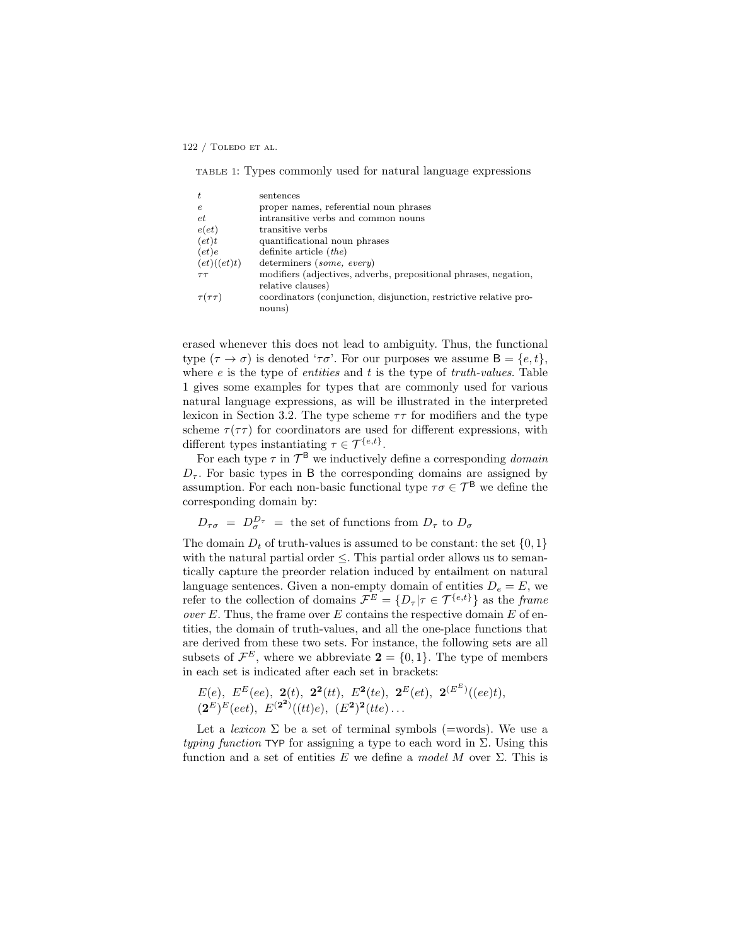TABLE 1: Types commonly used for natural language expressions

| $\tau$                         | sentences                                                         |
|--------------------------------|-------------------------------------------------------------------|
| e                              | proper names, referential noun phrases                            |
| et                             | intransitive verbs and common nouns                               |
| e(e t)                         | transitive verbs                                                  |
| (et)t                          | quantificational noun phrases                                     |
| (e <sub>t</sub> ) <sub>e</sub> | definite article $(the)$                                          |
| (et)((et)t)                    | determiners (some, every)                                         |
| $T\tau$                        | modifiers (adjectives, adverbs, prepositional phrases, negation,  |
|                                | relative clauses)                                                 |
| $\tau(\tau\tau)$               | coordinators (conjunction, disjunction, restrictive relative pro- |
|                                | nouns)                                                            |

erased whenever this does not lead to ambiguity. Thus, the functional type  $(\tau \to \sigma)$  is denoted ' $\tau \sigma$ '. For our purposes we assume  $B = \{e, t\}$ , where *e* is the type of *entities* and *t* is the type of *truth-values*. Table 1 gives some examples for types that are commonly used for various natural language expressions, as will be illustrated in the interpreted lexicon in Section 3.2. The type scheme  $\tau\tau$  for modifiers and the type scheme  $\tau(\tau\tau)$  for coordinators are used for different expressions, with different types instantiating  $\tau \in \mathcal{T}^{\{e,t\}}$ .

For each type  $\tau$  in  $\mathcal{T}^{\mathsf{B}}$  we inductively define a corresponding *domain*  $D_{\tau}$ . For basic types in B the corresponding domains are assigned by assumption. For each non-basic functional type  $\tau \sigma \in \mathcal{T}^B$  we define the corresponding domain by:

$$
D_{\tau\sigma} = D_{\sigma}^{D_{\tau}} =
$$
 the set of functions from  $D_{\tau}$  to  $D_{\sigma}$ 

The domain  $D_t$  of truth-values is assumed to be constant: the set  $\{0, 1\}$ with the natural partial order  $\leq$ . This partial order allows us to semantically capture the preorder relation induced by entailment on natural language sentences. Given a non-empty domain of entities  $D_e = E$ , we refer to the collection of domains  $\mathcal{F}^E = \{D_\tau | \tau \in \mathcal{T}^{\{e,t\}}\}\$ as the *frame over E*. Thus, the frame over *E* contains the respective domain *E* of entities, the domain of truth-values, and all the one-place functions that are derived from these two sets. For instance, the following sets are all subsets of  $\mathcal{F}^E$ , where we abbreviate  $\mathbf{2} = \{0, 1\}$ . The type of members in each set is indicated after each set in brackets:

$$
E(e), E^{E}(ee), 2(t), 2^{2}(tt), E^{2}(te), 2^{E}(et), 2^{(E^{E})}((ee)t),
$$
  
\n $(2^{E})^{E}(eet), E^{(2^{2})}((tt)e), (E^{2})^{2}(tte)...$ 

Let a *lexicon*  $\Sigma$  be a set of terminal symbols (=words). We use a *typing function* TYP for assigning a type to each word in  $\Sigma$ . Using this function and a set of entities  $E$  we define a *model*  $M$  over  $\Sigma$ . This is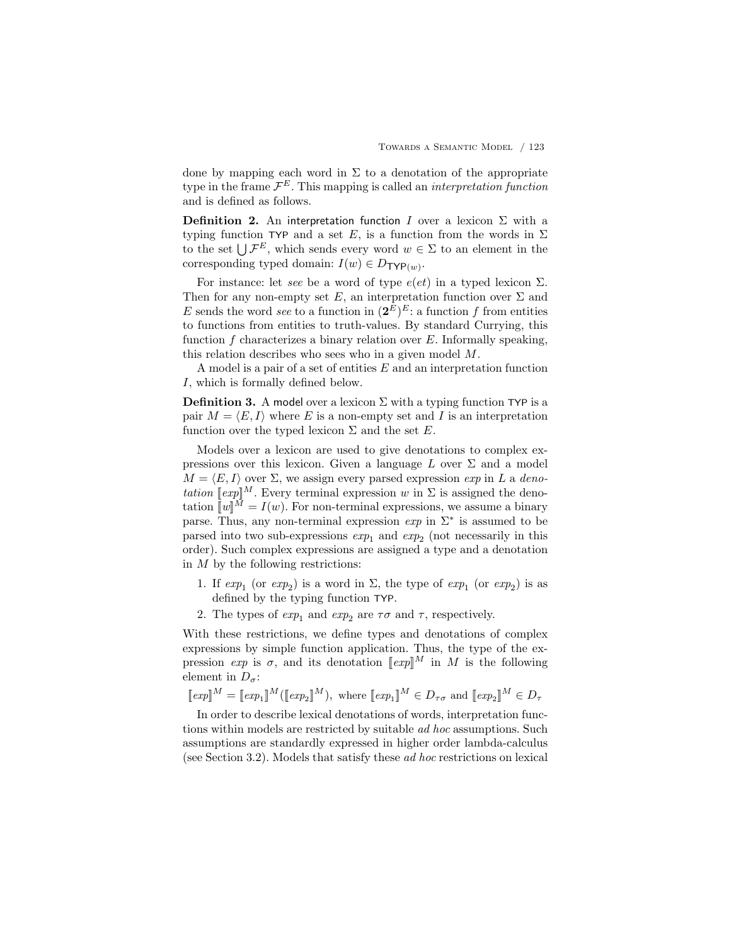done by mapping each word in  $\Sigma$  to a denotation of the appropriate type in the frame  $\mathcal{F}^E$ . This mapping is called an *interpretation function* and is defined as follows.

**Definition 2.** An interpretation function *I* over a lexicon  $\Sigma$  with a typing function TYP and a set  $E$ , is a function from the words in  $\Sigma$ to the set  $\bigcup \mathcal{F}^E$ , which sends every word  $w \in \Sigma$  to an element in the corresponding typed domain:  $I(w) \in D_{\mathsf{TP}(w)}$ .

For instance: let *see* be a word of type  $e(et)$  in a typed lexicon  $\Sigma$ . Then for any non-empty set  $E$ , an interpretation function over  $\Sigma$  and E sends the word *see* to a function in  $(2^{\overline{E}})^E$ : a function f from entities to functions from entities to truth-values. By standard Currying, this function *f* characterizes a binary relation over *E*. Informally speaking, this relation describes who sees who in a given model *M*.

A model is a pair of a set of entities *E* and an interpretation function *I*, which is formally defined below.

**Definition 3.** A model over a lexicon  $\Sigma$  with a typing function TYP is a pair  $M = \langle E, I \rangle$  where *E* is a non-empty set and *I* is an interpretation function over the typed lexicon  $\Sigma$  and the set  $E$ .

Models over a lexicon are used to give denotations to complex expressions over this lexicon. Given a language  $L$  over  $\Sigma$  and a model  $M = \langle E, I \rangle$  over  $\Sigma$ , we assign every parsed expression *exp* in *L* a *denotation*  $[exp]^M$ . Every terminal expression *w* in  $\Sigma$  is assigned the denotation  $\[\psi\]$ <sup> $\tilde{M} = I(w)$ . For non-terminal expressions, we assume a binary</sup> parse. Thus, any non-terminal expression  $exp$  in  $\Sigma^*$  is assumed to be parsed into two sub-expressions  $exp_1$  and  $exp_2$  (not necessarily in this order). Such complex expressions are assigned a type and a denotation in *M* by the following restrictions:

- 1. If  $exp_1$  (or  $exp_2$ ) is a word in  $\Sigma$ , the type of  $exp_1$  (or  $exp_2$ ) is as defined by the typing function TYP.
- 2. The types of  $exp_1$  and  $exp_2$  are  $\tau\sigma$  and  $\tau$ , respectively.

With these restrictions, we define types and denotations of complex expressions by simple function application. Thus, the type of the expression *exp* is  $\sigma$ , and its denotation  $\llbracket exp \rrbracket^M$  in *M* is the following element in  $D_{\sigma}$ :

 $[\![exp]\!]^M = [\![exp_1]\!]^M([\![exp_2]\!]^M)$ , where  $[\![exp_1]\!]^M \in D_{\tau\sigma}$  and  $[\![exp_2]\!]^M \in D_{\tau\sigma}$ 

In order to describe lexical denotations of words, interpretation functions within models are restricted by suitable *ad hoc* assumptions. Such assumptions are standardly expressed in higher order lambda-calculus (see Section 3.2). Models that satisfy these *ad hoc* restrictions on lexical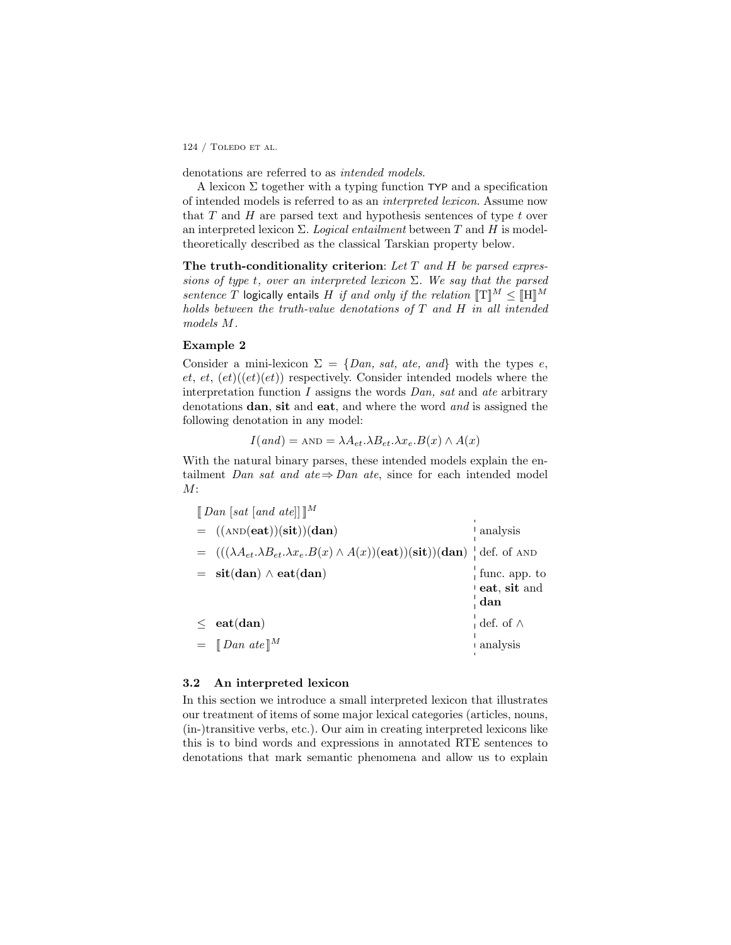denotations are referred to as *intended models*.

A lexicon  $\Sigma$  together with a typing function TYP and a specification of intended models is referred to as an *interpreted lexicon*. Assume now that *T* and *H* are parsed text and hypothesis sentences of type *t* over an interpreted lexicon  $\Sigma$ . *Logical entailment* between  $T$  and  $H$  is modeltheoretically described as the classical Tarskian property below.

The truth-conditionality criterion: *Let T and H be parsed expressions of type t, over an interpreted lexicon*  $\Sigma$ *. We say that the parsed sentence T* logically entails *H if and only if the relation*  $[[T]]^M \leq [[H]]^M$ *holds between the truth-value denotations of T and H in all intended models M.*

## Example 2

Consider a mini-lexicon  $\Sigma = \{Dan, sat, ate, and\}$  with the types *e*,  $et, et, (et)((et)(et))$  respectively. Consider intended models where the interpretation function *I* assigns the words *Dan, sat* and *ate* arbitrary denotations dan, sit and eat, and where the word *and* is assigned the following denotation in any model:

 $I(and) = \text{AND} = \lambda A_{et} \cdot \lambda B_{et} \cdot \lambda x_{e} \cdot B(x) \wedge A(x)$ 

With the natural binary parses, these intended models explain the entailment *Dan sat and ate*  $\Rightarrow$  *Dan ate*, since for each intended model *M*:

| $\llbracket Dan [sat [and ate]] \rrbracket^M$ |
|-----------------------------------------------|
| $=$ $((AND(eat))(sit))(dan)$                  |

| $= (((\lambda A_{et}.\lambda B_{et}.\lambda x_e.B(x) \wedge A(x))(\textbf{eat}))(\textbf{sit}))(d\textbf{an})$ def. of and |                                      |
|----------------------------------------------------------------------------------------------------------------------------|--------------------------------------|
| $=$ sit(dan) $\wedge$ eat(dan)                                                                                             | func. app. to<br>eat, sit and<br>dan |
| $\leq$ eat(dan)                                                                                                            | def. of $\wedge$                     |
| $=$ $\mathbb{L}$ Dan ate $\mathbb{L}^M$                                                                                    | analysis                             |

 $\overline{\phantom{a}}$  analysis

# 3.2 An interpreted lexicon

In this section we introduce a small interpreted lexicon that illustrates our treatment of items of some major lexical categories (articles, nouns, (in-)transitive verbs, etc.). Our aim in creating interpreted lexicons like this is to bind words and expressions in annotated RTE sentences to denotations that mark semantic phenomena and allow us to explain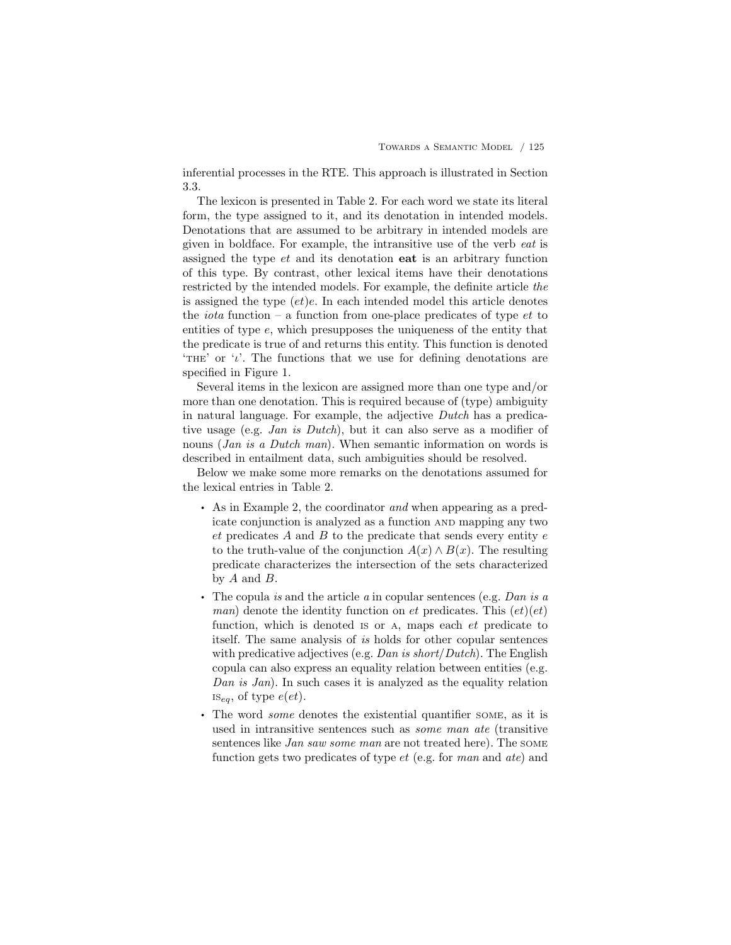inferential processes in the RTE. This approach is illustrated in Section 3.3.

The lexicon is presented in Table 2. For each word we state its literal form, the type assigned to it, and its denotation in intended models. Denotations that are assumed to be arbitrary in intended models are given in boldface. For example, the intransitive use of the verb *eat* is assigned the type *et* and its denotation eat is an arbitrary function of this type. By contrast, other lexical items have their denotations restricted by the intended models. For example, the definite article *the* is assigned the type (*et*)*e*. In each intended model this article denotes the *iota* function – a function from one-place predicates of type *et* to entities of type *e*, which presupposes the uniqueness of the entity that the predicate is true of and returns this entity. This function is denoted 'THE' or ' $\iota'$ . The functions that we use for defining denotations are specified in Figure 1.

Several items in the lexicon are assigned more than one type and/or more than one denotation. This is required because of (type) ambiguity in natural language. For example, the adjective *Dutch* has a predicative usage (e.g. *Jan is Dutch*), but it can also serve as a modifier of nouns (*Jan is a Dutch man*). When semantic information on words is described in entailment data, such ambiguities should be resolved.

Below we make some more remarks on the denotations assumed for the lexical entries in Table 2.

- . As in Example 2, the coordinator *and* when appearing as a predicate conjunction is analyzed as a function AND mapping any two *et* predicates *A* and *B* to the predicate that sends every entity *e* to the truth-value of the conjunction  $A(x) \wedge B(x)$ . The resulting predicate characterizes the intersection of the sets characterized by *A* and *B*.
- . The copula *is* and the article *<sup>a</sup>* in copular sentences (e.g. *Dan is a man*) denote the identity function on *et* predicates. This  $(et)(et)$ function, which is denoted IS or <sup>A</sup>, maps each *et* predicate to itself. The same analysis of *is* holds for other copular sentences with predicative adjectives (e.g. *Dan is short*/*Dutch*). The English copula can also express an equality relation between entities (e.g. *Dan is Jan*). In such cases it is analyzed as the equality relation  $IS_{eq}$ , of type  $e(et)$ .
- . The word *some* denotes the existential quantifier SOME, as it is used in intransitive sentences such as *some man ate* (transitive sentences like *Jan saw some man* are not treated here). The SOME function gets two predicates of type *et* (e.g. for *man* and *ate*) and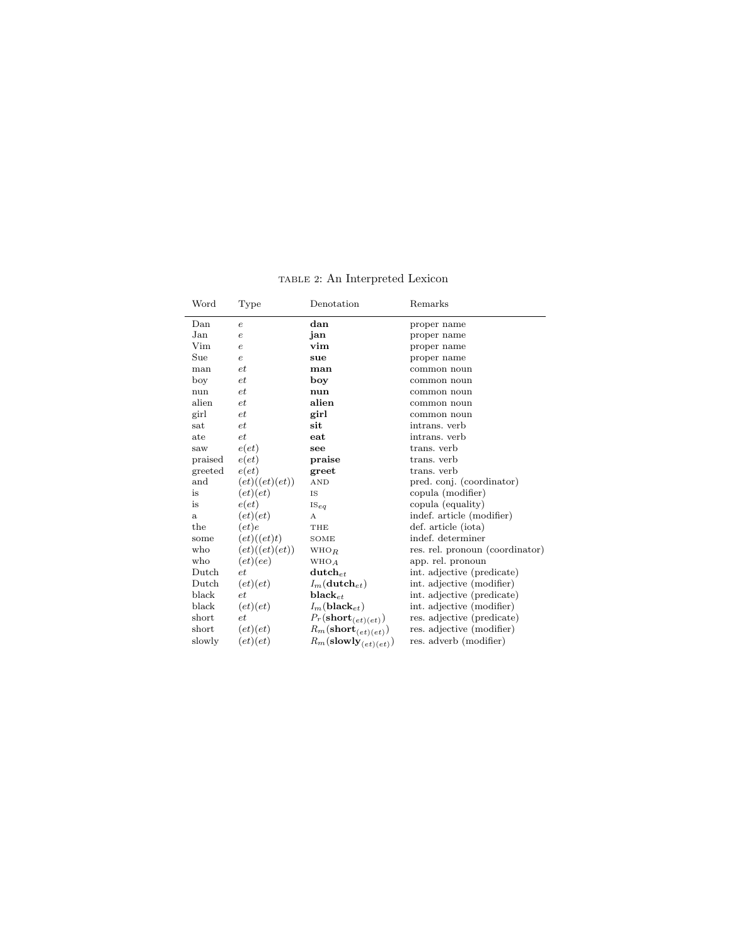| Word           | Type                                   | Denotation                        | Remarks                         |
|----------------|----------------------------------------|-----------------------------------|---------------------------------|
| Dan            | $\epsilon$                             | dan                               | proper name                     |
| Jan            | $\epsilon$                             | jan                               | proper name                     |
| Vim            | $\epsilon$                             | vim                               | proper name                     |
| Sue            | $\epsilon$                             | sue                               | proper name                     |
| man            | et                                     | man                               | common noun                     |
| boy            | et                                     | boy                               | common noun                     |
| nun            | et                                     | nun                               | common noun                     |
| alien          | et                                     | alien                             | common noun                     |
| girl           | et                                     | girl                              | common noun                     |
| sat            | et                                     | sit                               | intrans. verb                   |
| ate            | et                                     | $_{\rm{eat}}$                     | intrans. verb                   |
| saw            | e (et)                                 | see                               | trans. verb                     |
| praised        | e (et)                                 | praise                            | trans. verb                     |
| greeted        | e(e t)                                 | greet                             | trans. verb                     |
| and            | (et)((et)(et))                         | <b>AND</b>                        | pred. conj. (coordinator)       |
| is             | $\left( et\right) \left( et\right)$    | <b>IS</b>                         | copula (modifier)               |
| is             | e(e t)                                 | $IS_{eq}$                         | copula (equality)               |
| a              | $\left( et\right) \left( et\right)$    | А                                 | indef. article (modifier)       |
| the            | (e <sub>t</sub> ) <sub>e</sub>         | THE                               | def. article (iota)             |
| some           | $\left( et\right) \left( (et)t\right)$ | SOME                              | indef. determiner               |
| who            | (et)((et)(et))                         | $WHO_R$                           | res. rel. pronoun (coordinator) |
| who            | (et)(ee)                               | WHO <sub>A</sub>                  | app. rel. pronoun               |
| Dutch          | et                                     | $\mathrm{dutch}_{et}$             | int. adjective (predicate)      |
| Dutch          | $\left( et\right) (et)$                | $I_m(\mathbf{dutch}_{et})$        | int. adjective (modifier)       |
| black          | et                                     | $black_{et}$                      | int. adjective (predicate)      |
| black          | $\left( et\right) \left( et\right)$    | $I_m(\mathbf{black}_{et})$        | int. adjective (modifier)       |
| short          | et                                     | $P_r(\mathbf{short}_{(et)(et)})$  | res. adjective (predicate)      |
| $_{\rm short}$ | $\left( et\right) \left( et\right)$    | $R_m(\textbf{short}_{(et)(et)})$  | res. adjective (modifier)       |
| slowly         | $\left( et\right) (et)$                | $R_m(\textbf{slowly}_{(et)(et)})$ | res. adverb (modifier)          |

TABLE 2: An Interpreted Lexicon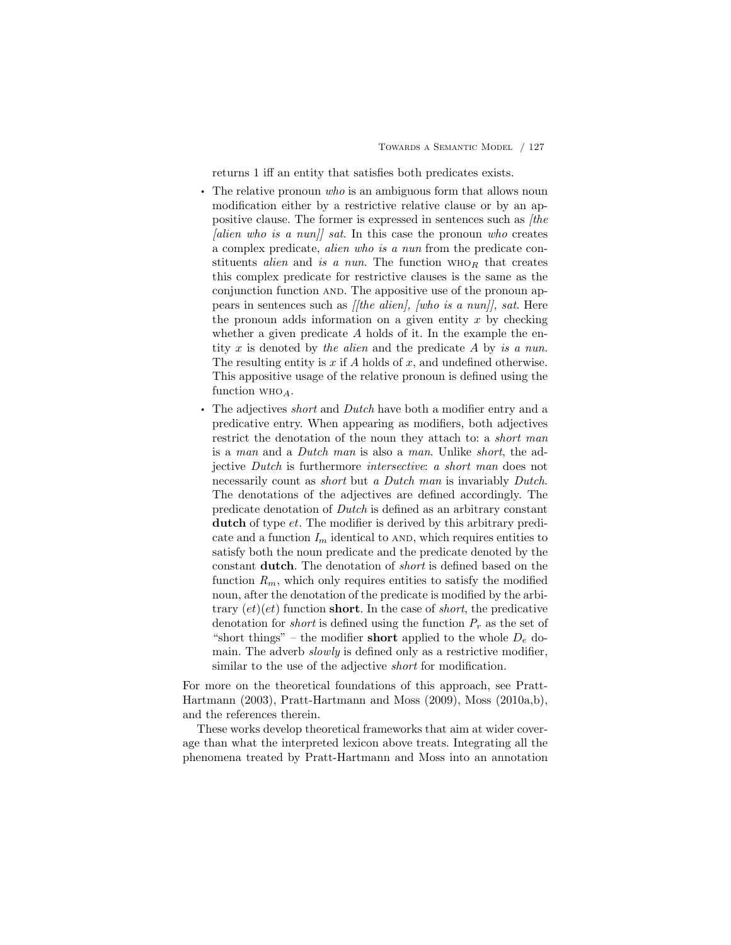returns 1 iff an entity that satisfies both predicates exists.

- . The relative pronoun *who* is an ambiguous form that allows noun modification either by a restrictive relative clause or by an appositive clause. The former is expressed in sentences such as *[the [alien who is a nun]] sat*. In this case the pronoun *who* creates a complex predicate, *alien who is a nun* from the predicate constituents *alien* and *is a nun*. The function WHO*<sup>R</sup>* that creates this complex predicate for restrictive clauses is the same as the conjunction function AND. The appositive use of the pronoun appears in sentences such as *[[the alien], [who is a nun]], sat*. Here the pronoun adds information on a given entity *x* by checking whether a given predicate *A* holds of it. In the example the entity *x* is denoted by *the alien* and the predicate *A* by *is a nun*. The resulting entity is *x* if *A* holds of *x*, and undefined otherwise. This appositive usage of the relative pronoun is defined using the function WHO*A*.
- . The adjectives *short* and *Dutch* have both a modifier entry and a predicative entry. When appearing as modifiers, both adjectives restrict the denotation of the noun they attach to: a *short man* is a *man* and a *Dutch man* is also a *man*. Unlike *short*, the adjective *Dutch* is furthermore *intersective*: *a short man* does not necessarily count as *short* but *a Dutch man* is invariably *Dutch*. The denotations of the adjectives are defined accordingly. The predicate denotation of *Dutch* is defined as an arbitrary constant dutch of type *et*. The modifier is derived by this arbitrary predicate and a function  $I_m$  identical to AND, which requires entities to satisfy both the noun predicate and the predicate denoted by the constant dutch. The denotation of *short* is defined based on the function  $R_m$ , which only requires entities to satisfy the modified noun, after the denotation of the predicate is modified by the arbitrary  $(et)(et)$  function **short**. In the case of *short*, the predicative denotation for *short* is defined using the function  $P_r$  as the set of "short things" – the modifier **short** applied to the whole  $D_e$  domain. The adverb *slowly* is defined only as a restrictive modifier, similar to the use of the adjective *short* for modification.

For more on the theoretical foundations of this approach, see Pratt-Hartmann (2003), Pratt-Hartmann and Moss (2009), Moss (2010a,b), and the references therein.

These works develop theoretical frameworks that aim at wider coverage than what the interpreted lexicon above treats. Integrating all the phenomena treated by Pratt-Hartmann and Moss into an annotation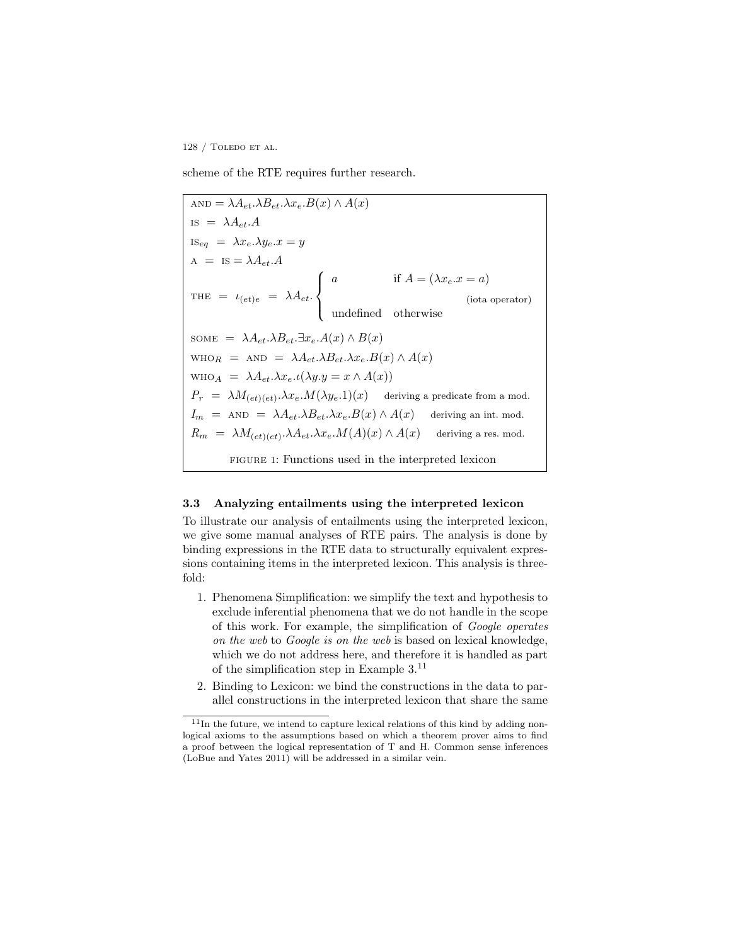scheme of the RTE requires further research.

 $\lambda$ A $\lambda$ *et* $\cdot$  $\lambda$ *B*<sub>*et*</sub> $\cdot$  $\lambda$ *x*<sub>*e*</sub> $\cdot$ *B*(*x*)  $\wedge$  *A*(*x*) IS =  $\lambda A_{et} A$ IS =  $\lambda A_{et}.A$ <br>
IS<sub>eq</sub> =  $\lambda x_e.\lambda y_e.x = y$ <br>
A = IS =  $\lambda A_{et}.A$  $A = IS = \lambda A_{et}.A$  $\text{THE} = \iota_{(et)e} = \lambda A_{et}.$  $\sqrt{2}$  $\left| \right|$  $\downarrow$ *a* if  $A = (\lambda x_e \cdot x = a)$ (iota operator) undefined otherwise SOME =  $\lambda A_{et} \cdot \lambda B_{et} \cdot \exists x_e \cdot A(x) \wedge B(x)$  $WHO_R = AND = \lambda A_{et} \cdot \lambda B_{et} \cdot \lambda x_e B(x) \wedge A(x)$  $WHO_A = \lambda A_{et}.\lambda x_{e}.\iota(\lambda y.y = x \wedge A(x))$  $P_r = \lambda M_{(et)(et)} \lambda x_e.M(\lambda y_e.1)(x)$  deriving a predicate from a mod.  $I_m$  = AND =  $\lambda A_{et} \lambda B_{et} \lambda x_e B(x) \wedge A(x)$  deriving an int. mod.  $R_m = \lambda M_{(et)(et)} \lambda A_{et} \lambda x_e M(A)(x) \wedge A(x)$  deriving a res. mod. FIGURE 1: Functions used in the interpreted lexicon

# 3.3 Analyzing entailments using the interpreted lexicon

To illustrate our analysis of entailments using the interpreted lexicon, we give some manual analyses of RTE pairs. The analysis is done by binding expressions in the RTE data to structurally equivalent expressions containing items in the interpreted lexicon. This analysis is threefold:

- 1. Phenomena Simplification: we simplify the text and hypothesis to exclude inferential phenomena that we do not handle in the scope of this work. For example, the simplification of *Google operates on the web* to *Google is on the web* is based on lexical knowledge, which we do not address here, and therefore it is handled as part of the simplification step in Example 3.<sup>11</sup>
- 2. Binding to Lexicon: we bind the constructions in the data to parallel constructions in the interpreted lexicon that share the same

 $11$ In the future, we intend to capture lexical relations of this kind by adding nonlogical axioms to the assumptions based on which a theorem prover aims to find a proof between the logical representation of T and H. Common sense inferences (LoBue and Yates 2011) will be addressed in a similar vein.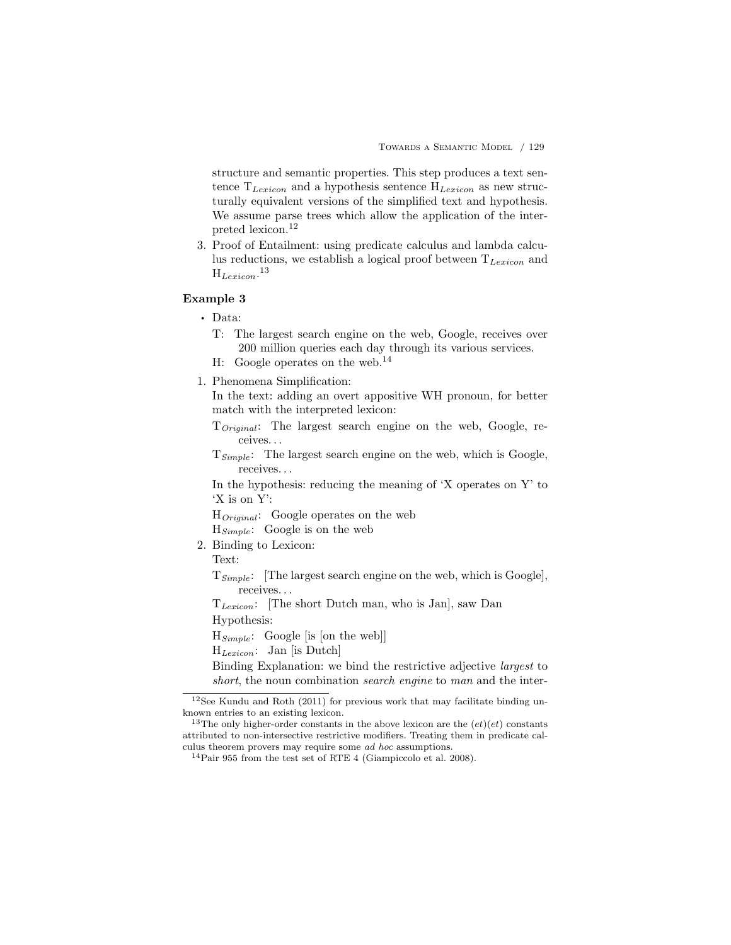structure and semantic properties. This step produces a text sentence T*Lexicon* and a hypothesis sentence H*Lexicon* as new structurally equivalent versions of the simplified text and hypothesis. We assume parse trees which allow the application of the interpreted lexicon.<sup>12</sup>

3. Proof of Entailment: using predicate calculus and lambda calculus reductions, we establish a logical proof between T*Lexicon* and H*Lexicon*. 13

## Example 3

- . Data:
	- T: The largest search engine on the web, Google, receives over 200 million queries each day through its various services.
	- H: Google operates on the web.<sup>14</sup>
- 1. Phenomena Simplification:

In the text: adding an overt appositive WH pronoun, for better match with the interpreted lexicon:

T*Original* : The largest search engine on the web, Google, receives. . .

T*Simple* : The largest search engine on the web, which is Google, receives. . .

In the hypothesis: reducing the meaning of 'X operates on Y' to 'X is on Y':

H*Original* : Google operates on the web H*Simple* : Google is on the web

- 2. Binding to Lexicon:
	- Text:

T*Simple* : [The largest search engine on the web, which is Google], receives. . .

T*Lexicon*: [The short Dutch man, who is Jan], saw Dan Hypothesis:

H*Simple* : Google [is [on the web]]

H*Lexicon*: Jan [is Dutch]

Binding Explanation: we bind the restrictive adjective *largest* to *short*, the noun combination *search engine* to *man* and the inter-

<sup>12</sup>See Kundu and Roth (2011) for previous work that may facilitate binding unknown entries to an existing lexicon.

<sup>&</sup>lt;sup>13</sup>The only higher-order constants in the above lexicon are the  $(et)(et)$  constants attributed to non-intersective restrictive modifiers. Treating them in predicate calculus theorem provers may require some *ad hoc* assumptions.

 $^{14}\mathrm{Pair}$ 955 from the test set of RTE 4 (Giampiccolo et al. 2008).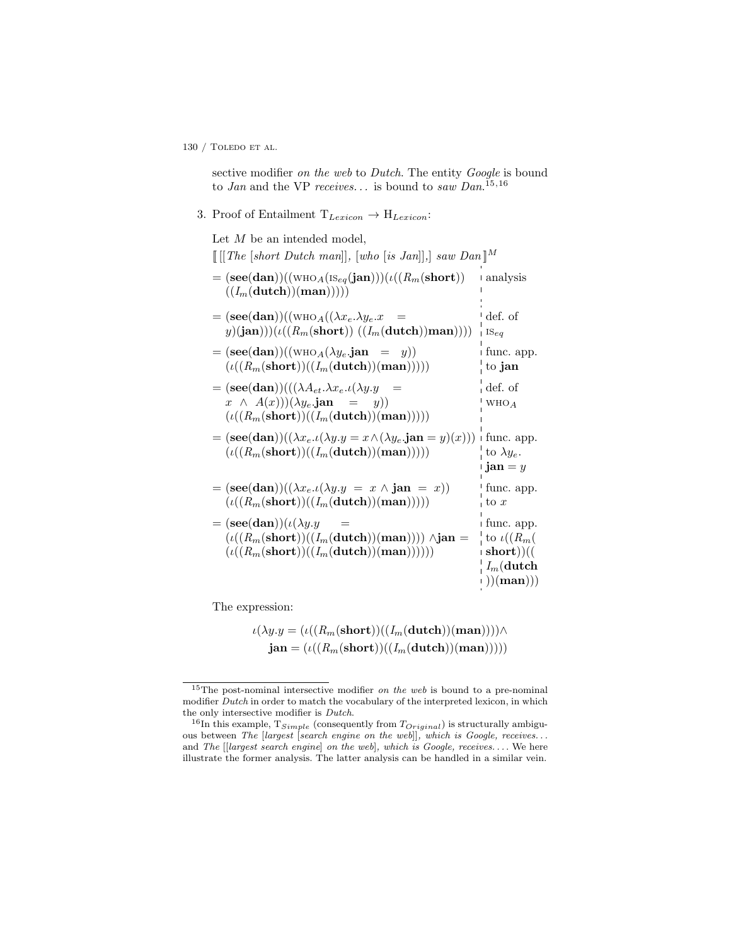sective modifier *on the web* to *Dutch*. The entity *Google* is bound to *Jan* and the VP *receives. . .* is bound to *saw Dan*. 15*,*16

# 3. Proof of Entailment  $T_{Lexicon} \rightarrow H_{Lexicon}$ :

Let *M* be an intended model,

 $[[[[The [short Dutch man]], [who [is Jan]],] saw Dan]]$ 

| $= (\text{see}(\text{dan}))((\text{who}_A(\text{IS}_{eq}(\text{jan}))) (\iota((R_m(\text{short})))$<br>$((I_m(\mathbf{dutch}))(\mathbf{man}))))$                                                                                     | analysis                                                                                |
|--------------------------------------------------------------------------------------------------------------------------------------------------------------------------------------------------------------------------------------|-----------------------------------------------------------------------------------------|
| $=$ (see(dan))((WHO <sub>A</sub> (( $\lambda x_e.\lambda y_e.x$ =<br>$(y)(\mathbf{jan}))(\iota((R_m(\mathbf{short}))((I_m(\mathbf{dutch}))\mathbf{man}))))$                                                                          | def. of<br>$IS_{eq}$                                                                    |
| $=$ (see(dan))((WHO <sub>A</sub> ( $\lambda y_e$ .jan = y))<br>$(\iota((R_m(\textbf{short}))((I_m(\textbf{dutch}))(\textbf{man}))))$                                                                                                 | func. app.<br>to <b>jan</b>                                                             |
| $=$ (see(dan))((( $\lambda A_{et}.\lambda x_e.\iota(\lambda y.y)$<br>$x \wedge A(x))(\lambda y_e$ .jan = y)<br>$\left(\iota((R_m(\textbf{short}))((I_m(\textbf{dutch}))(\textbf{man}))))\right)$                                     | def. of<br>WHO <sub>A</sub>                                                             |
| $= (\textbf{see}(\textbf{dan}))((\lambda x_e \ldotp \iota(\lambda y.y = x \land (\lambda y_e \ldotp \textbf{jan} = y)(x)))$<br>$(\iota((R_m(\textbf{short}))((I_m(\textbf{dutch}))(\textbf{man}))))$                                 | func. app.<br>to $\lambda y_e$ .<br>$jan = y$                                           |
| $= (\text{see}(\text{dan}))((\lambda x_e \cdot \iota(\lambda y \cdot y = x \wedge \text{jan} = x))$<br>$(\iota((R_m(\textbf{short}))((I_m(\textbf{dutch}))(\textbf{man}))))$                                                         | func. app.<br>to $x$                                                                    |
| $=$ (see(dan))( $\iota(\lambda y.y)$<br>$\equiv$<br>$(\iota((R_m(\textbf{short}))((I_m(\textbf{dutch}))(\textbf{man})))) \wedge \textbf{jan} =$<br>$\left(\iota((R_m(\textbf{short}))((I_m(\textbf{dutch}))(\textbf{man}))))\right)$ | func. app.<br>to $\iota((R_m))$<br>$short))$ ((<br>$I_m$ (dutch<br>$))(\mathbf{man})))$ |

The expression:

$$
\iota(\lambda y.y = (\iota((R_m(\textbf{short}))((I_m(\textbf{dutch}))(\textbf{man})))) \wedge
$$
  
jan = (\iota((R\_m(\textbf{short}))((I\_m(\textbf{dutch}))(\textbf{man}))))

<sup>15</sup>The post-nominal intersective modifier *on the web* is bound to a pre-nominal modifier *Dutch* in order to match the vocabulary of the interpreted lexicon, in which the only intersective modifier is *Dutch*.

<sup>&</sup>lt;sup>16</sup>In this example,  $T_{Simple}$  (consequently from  $T_{Original}$ ) is structurally ambiguous between *The* [*largest* [*search engine on the web*]]*, which is Google, receives. . .* and *The* [[*largest search engine*] *on the web*]*, which is Google, receives. . .* . We here illustrate the former analysis. The latter analysis can be handled in a similar vein.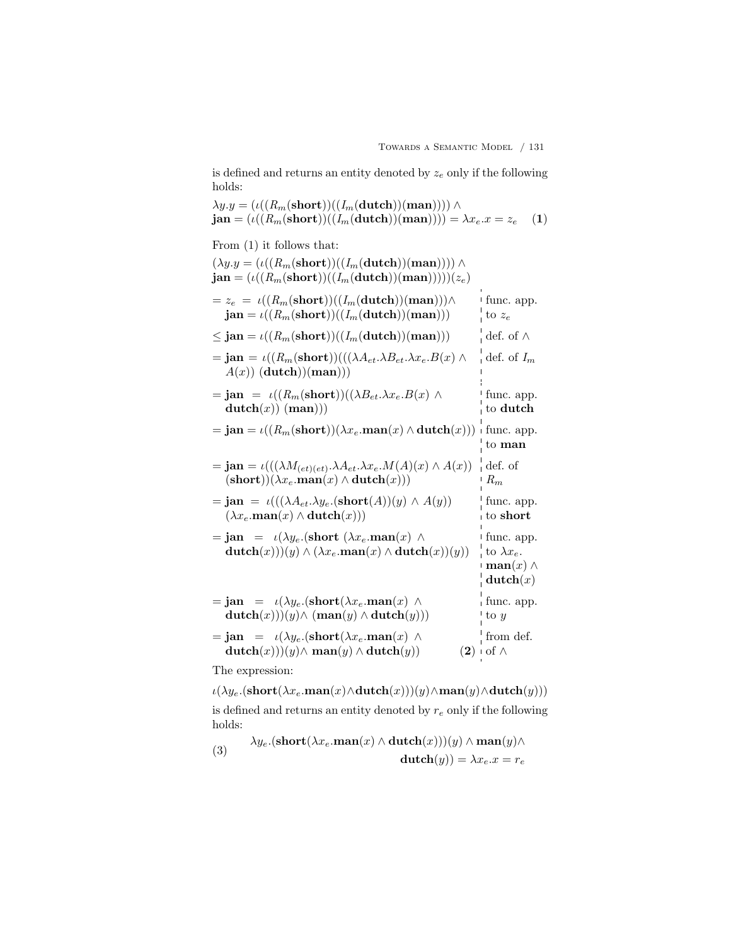is defined and returns an entity denoted by  $z_e$  only if the following holds:

$$
\lambda y.y = (\iota((R_m(\text{short}))((I_m(\text{dutch}))(\text{man})))) \wedge \n\text{jan} = (\iota((R_m(\text{short}))((I_m(\text{dutch}))(\text{man})))) = \lambda x_e.x = z_e
$$
 (1)

From (1) it follows that:

| $(\lambda y.y = (\iota((R_m(\textbf{short}))((I_m(\textbf{dutch}))(\textbf{man})))) \wedge$<br>$\mathbf{jan} = (\iota((R_m(\mathbf{short}))((I_m(\mathbf{dutch}))(\mathbf{man}))))(z_e)$     |                                                                                     |
|----------------------------------------------------------------------------------------------------------------------------------------------------------------------------------------------|-------------------------------------------------------------------------------------|
| $z = z_e = \iota((R_m(\textbf{short}))((I_m(\textbf{dutch}))(\textbf{man}))) \wedge$<br>$jan = \iota((R_m(\text{short}))((I_m(\text{dutch}))(\text{man})))$                                  | func. app.<br>to $z_e$                                                              |
| $\leq$ <b>jan</b> = $\iota((R_m(\text{short}))((I_m(\text{dutch}))(\text{man})))$                                                                                                            | def. of $\wedge$                                                                    |
| $=$ jan = $\iota((R_m(\textbf{short})))((\lambda A_{et}.\lambda B_{et}.\lambda x_e.B(x) \wedge$<br>$A(x))$ (dutch))(man)))                                                                   | def. of $I_m$                                                                       |
| $=$ <b>jan</b> = $\iota((R_m(\textbf{short}))((\lambda B_{et}.\lambda x_e.B(x) \wedge$<br>$\textbf{dutch}(x))$ (man)))                                                                       | func. app.<br>to dutch                                                              |
| $=$ <b>jan</b> = $\iota((R_m(\text{short}))(\lambda x_e.\text{man}(x) \wedge \text{dutch}(x)))$                                                                                              | func. app.<br>to man                                                                |
| $=$ <b>jan</b> = $\iota((\lambda M_{(et)(et)}.\lambda A_{et}.\lambda x_e.M(A)(x) \wedge A(x)))$<br>$(\mathbf{short}))(\lambda x_e.\mathbf{man}(x) \wedge \mathbf{dutch}(x)))$                | def. of<br>$R_m$                                                                    |
| $=$ <b>jan</b> = $\iota((\lambda A_{et}. \lambda y_{e}.(\textbf{short}(A))(y) \wedge A(y)))$<br>$(\lambda x_e.\textbf{man}(x) \wedge \textbf{dutch}(x)))$                                    | func. app.<br>to short                                                              |
| $=$ <b>jan</b> = $\iota(\lambda y_e$ .( <b>short</b> $(\lambda x_e \cdot \text{man}(x) \wedge$<br>$\mathbf{dutch}(x)))(y) \wedge (\lambda x_e.\mathbf{man}(x) \wedge \mathbf{dutch}(x))(y))$ | func. app.<br>to $\lambda x_e$ .<br>$\mathbf{man}(x) \wedge$<br>$\mathrm{dutch}(x)$ |
| $=$ jan = $\iota(\lambda y_e.(\text{short}(\lambda x_e.\text{man}(x) \wedge$<br>$\textbf{dutch}(x))(y) \wedge (\textbf{man}(y) \wedge \textbf{dutch}(y)))$                                   | func. app.<br>to $y$                                                                |
| $=$ jan = $\iota(\lambda y_e.(\text{short}(\lambda x_e.\text{man}(x) \wedge$<br>$\textbf{dutch}(x)))(y) \wedge \textbf{man}(y) \wedge \textbf{dutch}(y))$<br>(2)                             | from def.<br>$\mapsto$ of $\wedge$                                                  |

The expression:

 $\nu(\lambda y_e.(\text{short}(\lambda x_e.\text{man}(x)\wedge \text{dutch}(x)))(y)\wedge \text{man}(y)\wedge \text{dutch}(y)))$ is defined and returns an entity denoted by *r<sup>e</sup>* only if the following holds:  $\frac{1}{2}$ 

(3) 
$$
\lambda y_e.(\text{short}(\lambda x_e.\text{man}(x) \wedge \text{dutch}(x)))(y) \wedge \text{man}(y) \wedge \text{dutch}(y)) = \lambda x_e.x = r_e
$$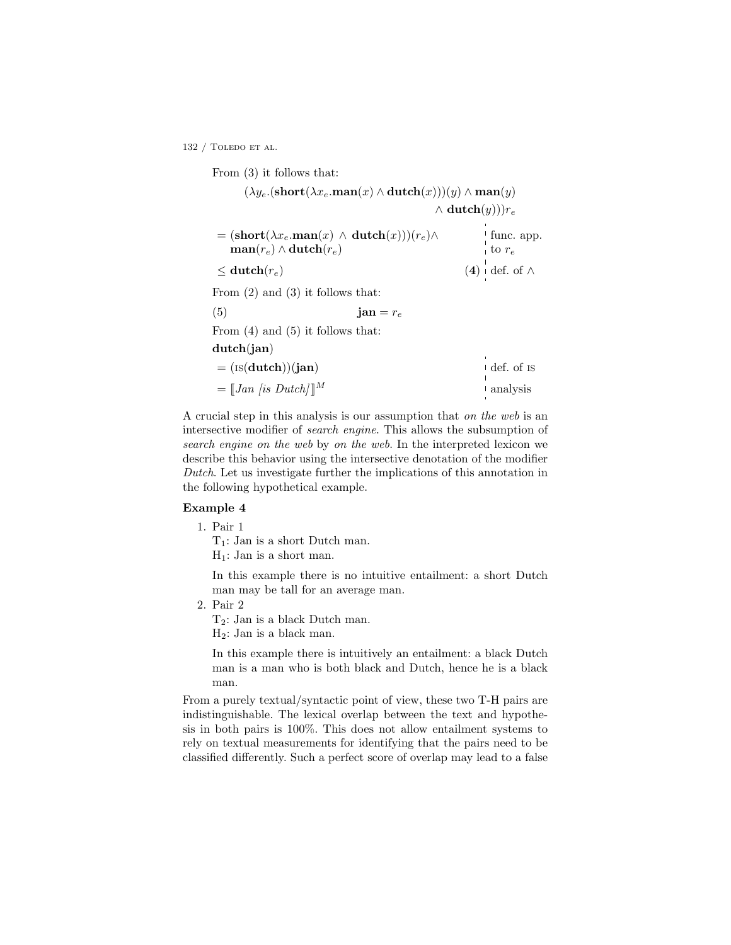132 / TOLEDO ET AL.

From (3) it follows that:

| $(\lambda y_e.(\textbf{short}(\lambda x_e.\textbf{man}(x) \wedge \textbf{dutch}(x)))(y) \wedge \textbf{man}(y))$<br>$\wedge$ dutch $(y))$ ) $r_e$ |  |                               |
|---------------------------------------------------------------------------------------------------------------------------------------------------|--|-------------------------------|
|                                                                                                                                                   |  |                               |
| $= (\textbf{short}(\lambda x_e.\textbf{man}(x) \wedge \textbf{dutch}(x)))(r_e) \wedge$<br>$\textbf{man}(r_e) \wedge \textbf{dutch}(r_e)$          |  | $\int$ func. app.<br>to $r_e$ |
| $\leq$ dutch $(r_e)$                                                                                                                              |  | $(4)$ i def. of $\wedge$      |
| From $(2)$ and $(3)$ it follows that:                                                                                                             |  |                               |
| (5)<br>$jan = r_e$                                                                                                                                |  |                               |
| From $(4)$ and $(5)$ it follows that:                                                                                                             |  |                               |
| dutch(jan)                                                                                                                                        |  |                               |
| $=$ (is(dutch))(jan)                                                                                                                              |  | $\pm$ def. of is              |
| $=\llbracket Jan \text{ }  is \text{ } Dutch \text{ }  \llbracket M \text{ }$                                                                     |  | analysis                      |

A crucial step in this analysis is our assumption that *on the web* is an intersective modifier of *search engine*. This allows the subsumption of *search engine on the web* by *on the web*. In the interpreted lexicon we describe this behavior using the intersective denotation of the modifier *Dutch*. Let us investigate further the implications of this annotation in the following hypothetical example.

#### Example 4

1. Pair 1

 $T_1$ : Jan is a short Dutch man.

 $H_1$ : Jan is a short man.

In this example there is no intuitive entailment: a short Dutch man may be tall for an average man.

2. Pair 2

 $T_2$ : Jan is a black Dutch man.

H2: Jan is a black man.

In this example there is intuitively an entailment: a black Dutch man is a man who is both black and Dutch, hence he is a black man.

From a purely textual/syntactic point of view, these two T-H pairs are indistinguishable. The lexical overlap between the text and hypothesis in both pairs is 100%. This does not allow entailment systems to rely on textual measurements for identifying that the pairs need to be classified differently. Such a perfect score of overlap may lead to a false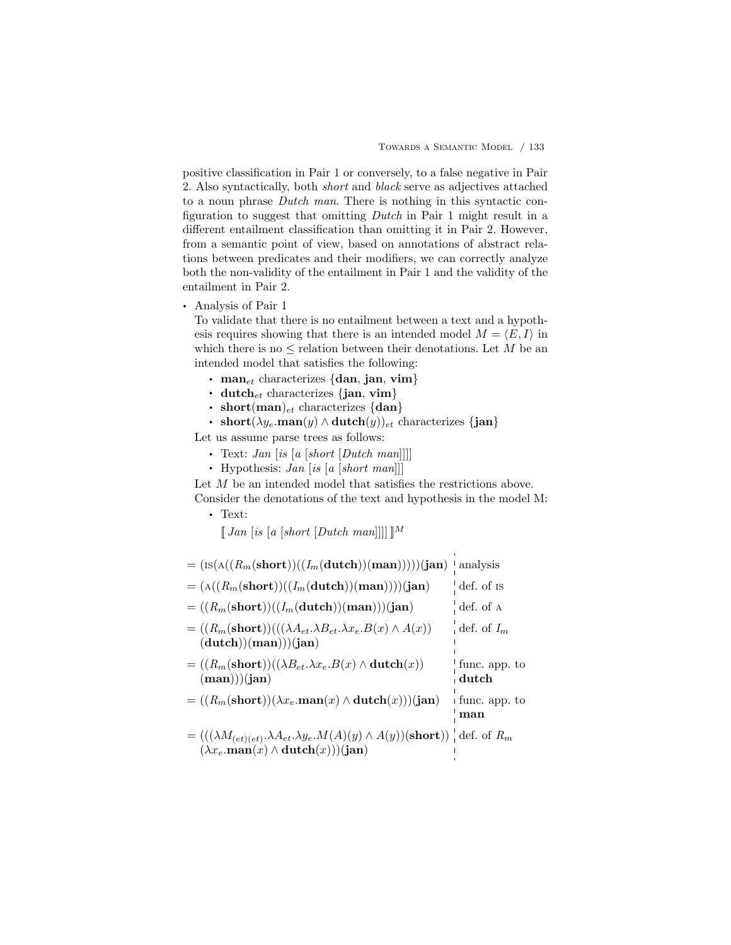positive classification in Pair 1 or conversely, to a false negative in Pair 2. Also syntactically, both *short* and *black* serve as adjectives attached to a noun phrase *Dutch man*. There is nothing in this syntactic configuration to suggest that omitting *Dutch* in Pair 1 might result in a different entailment classification than omitting it in Pair 2. However, from a semantic point of view, based on annotations of abstract relations between predicates and their modifiers, we can correctly analyze both the non-validity of the entailment in Pair 1 and the validity of the entailment in Pair 2.

. Analysis of Pair 1

To validate that there is no entailment between a text and a hypothesis requires showing that there is an intended model  $M = \langle E, I \rangle$  in which there is no  $\leq$  relation between their denotations. Let *M* be an intended model that satisfies the following:

- Exercise that satisfies the following:<br> **•** man<sub>*et*</sub> characterizes  $\{ \text{dan}, \text{jan}, \text{vim} \}$ . dutch*et* characterizes *{*jan, vim*}*
- $\cdot$  dutch<sub>et</sub> characterizes {**jan**, **vim**}<br> $\cdot$  short(man)<sub>et</sub> characterizes {dan}
- 
- $\cdot$  short( $\lambda y_e$ .man(y)  $\wedge$  dutch(y))<sub>et</sub> characterizes {jan}

Let us assume parse trees as follows:

- . Text: *Jan* [*is* [*<sup>a</sup>* [*short* [*Dutch man*]]]]
- . Hypothesis: *Jan* [*is* [*<sup>a</sup>* [*short man*]]]

Let *M* be an intended model that satisfies the restrictions above.

Consider the denotations of the text and hypothesis in the model M: . Text:

 $\llbracket$  *Jan* [*is* [*a* [*short* [*Dutch man*]]]]  $\llbracket M$ 

| $= (\text{IS}(\text{A}((R_m(\textbf{short}))((I_m(\textbf{dutch}))(\textbf{man}))))(\textbf{jan})$                                                                           | analysis                 |
|------------------------------------------------------------------------------------------------------------------------------------------------------------------------------|--------------------------|
| $= (A((R_m(\textbf{short}))((I_m(\textbf{dutch}))(\textbf{man}))))(\textbf{jan})$                                                                                            | $\det$ of is             |
| $= ((R_m(\text{short}))((I_m(\text{dutch}))(\text{man})))(\text{jan})$                                                                                                       | def. of A                |
| = $((R_m(\text{short})))(((\lambda A_{et}.\lambda B_{et}.\lambda x_e.B(x) \wedge A(x)))$<br>$(dutch))$ (man)))(jan)                                                          | def. of $I_m$            |
| $= ((R_m(\text{short}))((\lambda B_{et}.\lambda x_e.B(x) \wedge \text{dutch}(x)))$<br>$(\mathbf{man}))(\mathbf{jan})$                                                        | func. app. to<br>  dutch |
| $= ((R_m(\text{short}))(\lambda x_e \cdot \text{man}(x) \wedge \text{dutch}(x)))(\text{jan})$                                                                                | func. app. to<br>man     |
| = $(((\lambda M_{(et)(et)}.\lambda A_{et}.\lambda y_e.M(A)(y) \wedge A(y))(\text{short}))$ def. of $R_m$<br>$(\lambda x_e \cdot \text{man}(x) \wedge \text{dutch}(x))$ (jan) |                          |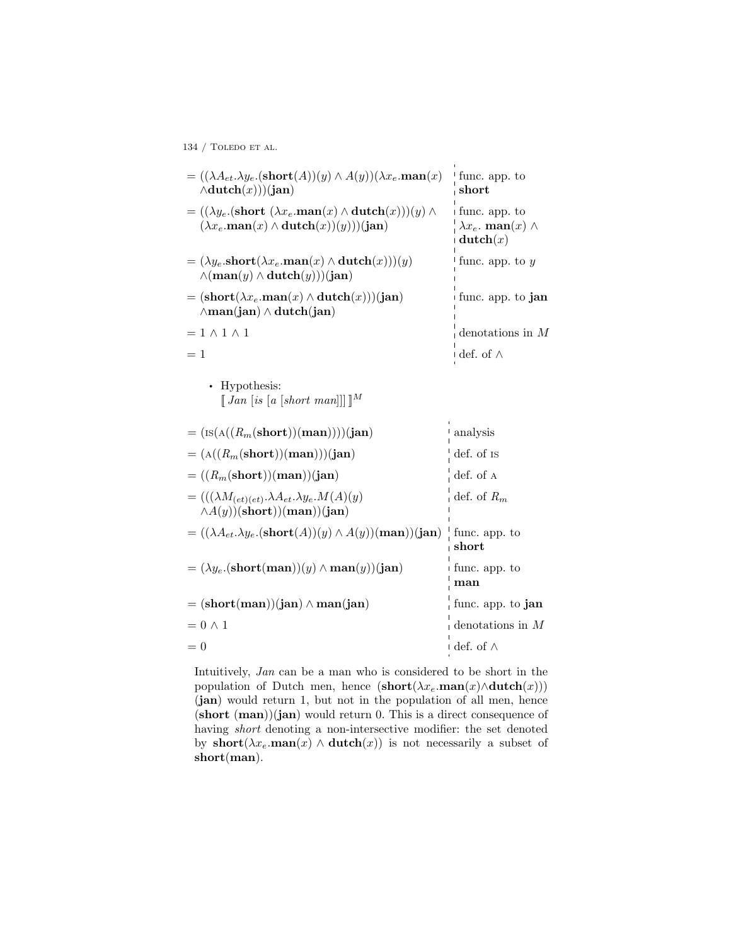| $= ((\lambda A_{et}.\lambda y_e.(\textbf{short}(A))(y) \wedge A(y))(\lambda x_e.\textbf{man}(x)))$<br>$\wedge \text{dutch}(x))$ (jan)                                           | func. app. to<br>short                                                         |
|---------------------------------------------------------------------------------------------------------------------------------------------------------------------------------|--------------------------------------------------------------------------------|
| $= ((\lambda y_e.(\textbf{short}~(\lambda x_e.\textbf{man}(x) \wedge \textbf{dutch}(x)))(y) \wedge$<br>$(\lambda x_e \cdot \textbf{man}(x) \wedge \textbf{dutch}(x))(y))$ (jan) | func. app. to<br>$\lambda x_e$ . man $(x)$ $\wedge$<br>$\pm \mathbf{dutch}(x)$ |
| $= (\lambda y_e \cdot \text{short}(\lambda x_e \cdot \text{man}(x) \wedge \text{dutch}(x)))(y)$<br>$\wedge$ (man(y) $\wedge$ dutch(y)))(jan)                                    | func. app. to $y$                                                              |
| $= (\text{short}(\lambda x_e \cdot \text{man}(x) \wedge \text{dutch}(x)))(\text{jan})$<br>$\wedge$ man(jan) $\wedge$ dutch(jan)                                                 | func. app. to jan                                                              |
| $= 1 \wedge 1 \wedge 1$                                                                                                                                                         | denotations in $M$                                                             |
| $=$ 1                                                                                                                                                                           | +def. of ∧                                                                     |
|                                                                                                                                                                                 |                                                                                |

. Hypothesis:  $\llbracket$  *Jan* [*is* [*a* [*short man*]]]  $\rrbracket^M$ 

| $=$ (IS(A(( $R_m$ (short))(man))))(jan)                                                                           | analysis                       |
|-------------------------------------------------------------------------------------------------------------------|--------------------------------|
| $= (A((R_m(\textbf{short}))(\textbf{man})))(\textbf{jan})$                                                        | def. of is                     |
| $= ((R_m(\text{short}))(\text{man}))(\text{jan})$                                                                 | def. of A                      |
| $= (((\lambda M_{(et)(et)}.\lambda A_{et}.\lambda y_e.M(A)(y))$<br>$\wedge A(y)$ (short))(man))(jan)              | def. of $R_m$                  |
| $= ((\lambda A_{et}.\lambda y_{e}.(\textbf{short}(A))(y) \wedge A(y))(\textbf{man}))(\textbf{jan})$ func. app. to | short                          |
| $= (\lambda y_e.(\textbf{short}(\textbf{man}))(y) \wedge \textbf{man}(y))(\textbf{jan})$                          | func. app. to<br>man           |
| $= (\text{short}(\text{man}))(\text{jan}) \wedge \text{man}(\text{jan})$                                          | func. app. to $jan$            |
| $= 0 \wedge 1$                                                                                                    | $\frac{1}{1}$ denotations in M |
| $= 0$                                                                                                             | $\pm$ def. of $\wedge$         |
|                                                                                                                   |                                |

Intuitively, *Jan* can be a man who is considered to be short in the population of Dutch men, hence  $(\text{short}(\lambda x_e.\text{man}(x)\wedge\text{dutch}(x)))$ (jan) would return 1, but not in the population of all men, hence  $(\text{short } (man))(jan)$  would return 0. This is a direct consequence of having *short* denoting a non-intersective modifier: the set denoted by short $(\lambda x_e \cdot \text{man}(x) \wedge \text{dutch}(x))$  is not necessarily a subset of short(man).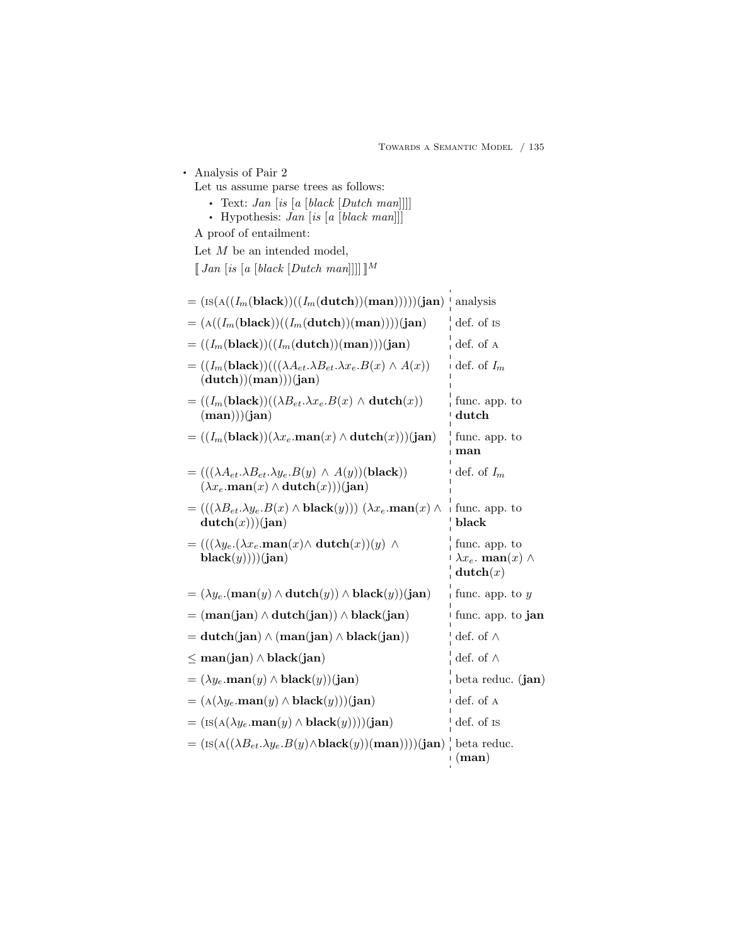Towards a Semantic Model / 135

 $\hat{\mathbf{I}}$ 

. Analysis of Pair 2

Let us assume parse trees as follows:

- . Text: *Jan* [*is* [*<sup>a</sup>* [*black* [*Dutch man*]]]]
- . Hypothesis: *Jan* [*is* [*<sup>a</sup>* [*black man*]]]

A proof of entailment:

Let  $M$  be an intended model,

 $\llbracket$  Jan [*is* [ $a$  [*black* [ $Dutch$   $man$ ]]]]  $\llbracket M$ 

| $=$ (Is(A((I <sub>m</sub> (black))((I <sub>m</sub> (dutch))(man)))))(jan)                                                                               | analysis                                                                   |
|---------------------------------------------------------------------------------------------------------------------------------------------------------|----------------------------------------------------------------------------|
| $= (A((I_m(\textbf{black}))((I_m(\textbf{dutch}))(\textbf{man}))))(\textbf{jan})$                                                                       | def. of is                                                                 |
| $= ((I_m(\textbf{black}))((I_m(\textbf{dutch}))(\textbf{man})))(\textbf{jan})$                                                                          | def. of A                                                                  |
| $= ((I_m(\text{black}))((\lambda A_{et}.\lambda B_{et}.\lambda x_e.B(x) \wedge A(x)))$<br>$(dutch))$ (man)))(jan)                                       | def. of $I_m$                                                              |
| $= ((I_m(\text{black}))((\lambda B_{et}.\lambda x_e.B(x) \wedge \text{dutch}(x)))$<br>$(\mathbf{man}))(\mathbf{jan})$                                   | func. app. to<br>dutch                                                     |
| $= ((I_m(\textbf{black}))(\lambda x_e.\textbf{man}(x) \wedge \textbf{dutch}(x)))(\textbf{jan})$                                                         | func. app. to<br>man                                                       |
| $= (((\lambda A_{et}.\lambda B_{et}.\lambda y_e.B(y) \wedge A(y))(\textbf{black}))$<br>$(\lambda x_e \cdot \text{man}(x) \wedge \text{dutch}(x))$ (jan) | def. of $I_m$                                                              |
| $= (((\lambda B_{et}.\lambda y_e.B(x) \wedge black(y))) (\lambda x_e \cdot man(x) \wedge$<br>$\textbf{dutch}(x))$ (jan)                                 | func. app. to<br>black                                                     |
| $=(((\lambda y_e.(\lambda x_e.\textbf{man}(x)\wedge \textbf{dutch}(x))(y)\wedge$<br>$black(y))$ $(jan)$                                                 | func. app. to<br>$\lambda x_e$ . man $(x)$ $\wedge$<br>$\mathrm{dutch}(x)$ |
| $= (\lambda y_e.(\textbf{man}(y) \wedge \textbf{dutch}(y)) \wedge \textbf{black}(y))$ (jan)                                                             | func. app. to $y$                                                          |
| $= (\text{man}(\text{jan}) \wedge \text{dutch}(\text{jan})) \wedge \text{black}(\text{jan})$                                                            | func. app. to jan                                                          |
| $= \text{dutch}(jan) \wedge (man(jan) \wedge black(jan))$                                                                                               | def. of $\wedge$                                                           |
| $\leq$ man(jan) $\wedge$ black(jan)                                                                                                                     | def. of $\wedge$                                                           |
| $= (\lambda y_e.\text{man}(y) \wedge \text{black}(y))(\textbf{jan})$                                                                                    | beta reduc. (jan)                                                          |
| $= (A(\lambda y_e \cdot \mathbf{man}(y) \wedge \mathbf{black}(y)))(\mathbf{jan})$                                                                       | ∣ def. of A                                                                |
| $=$ (IS(A( $\lambda y_e$ .man(y) $\wedge$ black(y))))(jan)                                                                                              | def. of is                                                                 |
| $= (\text{IS}(A((\lambda B_{et}.\lambda y_e.B(y)\wedge \text{black}(y))(\text{man}))))(\textbf{jan})$                                                   | beta reduc.<br>$(\mathbf{man})$                                            |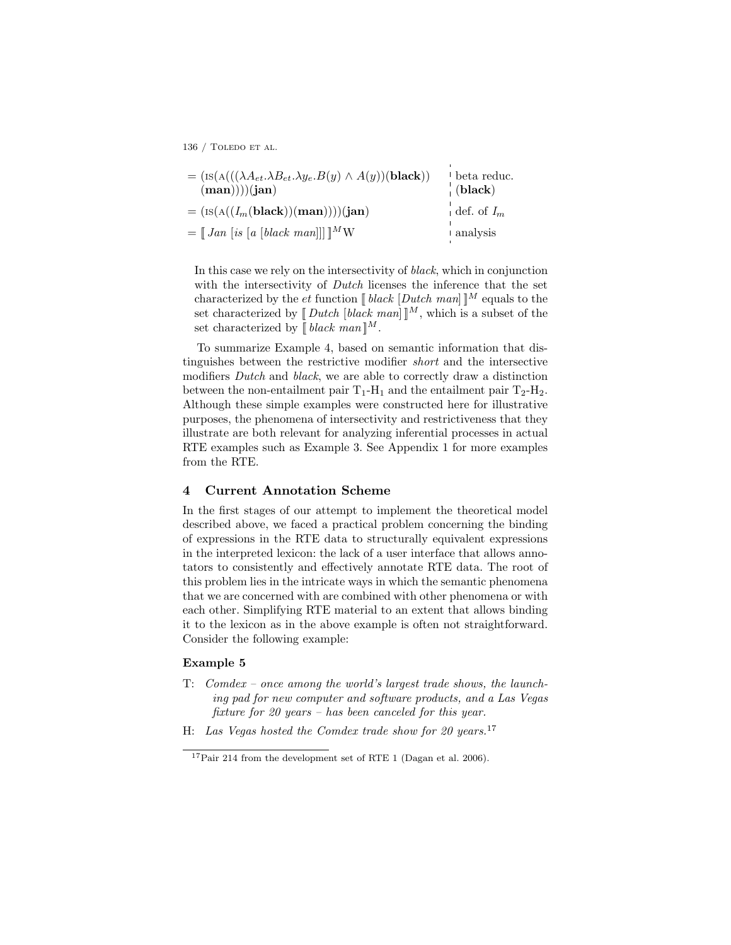| $=$ (IS(A((( $\lambda A_{et} \cdot \lambda B_{et} \cdot \lambda y_e B(y) \wedge A(y)$ )(black))<br>$(\mathbf{man}))) (\mathbf{jan})$ | $\pm$ beta reduc.<br>$\int$ (black) |
|--------------------------------------------------------------------------------------------------------------------------------------|-------------------------------------|
| $=$ (Is(A(( $I_m$ (black))(man))))(jan)                                                                                              | $\pm$ def. of $I_m$                 |
| $=\llbracket Jan \left[ is \left[ a \left[ black \; man \right] \right] \rrbracket ^M W$                                             | analysis                            |

In this case we rely on the intersectivity of *black*, which in conjunction with the intersectivity of *Dutch* licenses the inference that the set characterized by the *et* function  $\llbracket black \left[ Dutch \; man \right] \llbracket M \; equals \; to \; the$ set characterized by  $\llbracket Dutch [black man] \rrbracket^M$ , which is a subset of the set characterized by  $\llbracket black \ man\rrbracket^M$ .

To summarize Example 4, based on semantic information that distinguishes between the restrictive modifier *short* and the intersective modifiers *Dutch* and *black*, we are able to correctly draw a distinction between the non-entailment pair  $T_1-H_1$  and the entailment pair  $T_2-H_2$ . Although these simple examples were constructed here for illustrative purposes, the phenomena of intersectivity and restrictiveness that they illustrate are both relevant for analyzing inferential processes in actual RTE examples such as Example 3. See Appendix 1 for more examples from the RTE.

# 4 Current Annotation Scheme

In the first stages of our attempt to implement the theoretical model described above, we faced a practical problem concerning the binding of expressions in the RTE data to structurally equivalent expressions in the interpreted lexicon: the lack of a user interface that allows annotators to consistently and effectively annotate RTE data. The root of this problem lies in the intricate ways in which the semantic phenomena that we are concerned with are combined with other phenomena or with each other. Simplifying RTE material to an extent that allows binding it to the lexicon as in the above example is often not straightforward. Consider the following example:

# Example 5

- T: *Comdex once among the world's largest trade shows, the launching pad for new computer and software products, and a Las Vegas fixture for 20 years – has been canceled for this year.*
- H: *Las Vegas hosted the Comdex trade show for 20 years.*<sup>17</sup>

<sup>17</sup>Pair 214 from the development set of RTE 1 (Dagan et al. 2006).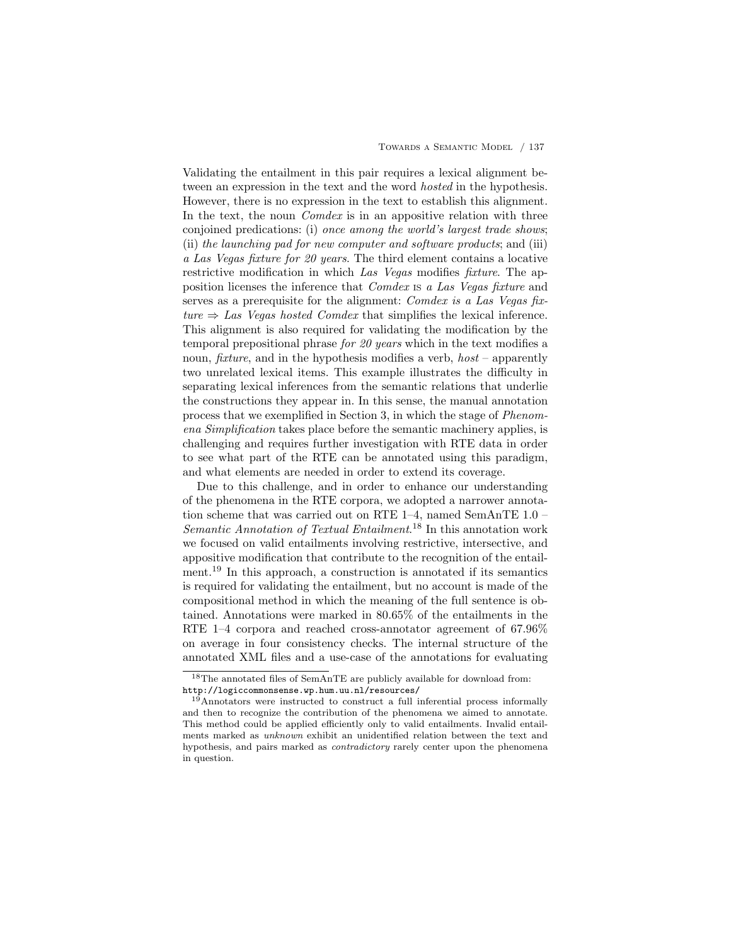Validating the entailment in this pair requires a lexical alignment between an expression in the text and the word *hosted* in the hypothesis. However, there is no expression in the text to establish this alignment. In the text, the noun *Comdex* is in an appositive relation with three conjoined predications: (i) *once among the world's largest trade shows*; (ii) *the launching pad for new computer and software products*; and (iii) *a Las Vegas fixture for 20 years*. The third element contains a locative restrictive modification in which *Las Vegas* modifies *fixture*. The apposition licenses the inference that *Comdex* IS *a Las Vegas fixture* and serves as a prerequisite for the alignment: *Comdex is a Las Vegas fix* $ture \Rightarrow Las Vegas hosted Condex that simplifies the lexical inference.$ This alignment is also required for validating the modification by the temporal prepositional phrase *for 20 years* which in the text modifies a noun, *fixture*, and in the hypothesis modifies a verb, *host* – apparently two unrelated lexical items. This example illustrates the difficulty in separating lexical inferences from the semantic relations that underlie the constructions they appear in. In this sense, the manual annotation process that we exemplified in Section 3, in which the stage of *Phenomena Simplification* takes place before the semantic machinery applies, is challenging and requires further investigation with RTE data in order to see what part of the RTE can be annotated using this paradigm, and what elements are needed in order to extend its coverage.

Due to this challenge, and in order to enhance our understanding of the phenomena in the RTE corpora, we adopted a narrower annotation scheme that was carried out on RTE 1–4, named SemAnTE 1.0 – *Semantic Annotation of Textual Entailment*. <sup>18</sup> In this annotation work we focused on valid entailments involving restrictive, intersective, and appositive modification that contribute to the recognition of the entailment.<sup>19</sup> In this approach, a construction is annotated if its semantics is required for validating the entailment, but no account is made of the compositional method in which the meaning of the full sentence is obtained. Annotations were marked in 80.65% of the entailments in the RTE 1–4 corpora and reached cross-annotator agreement of 67.96% on average in four consistency checks. The internal structure of the annotated XML files and a use-case of the annotations for evaluating

<sup>18</sup>The annotated files of SemAnTE are publicly available for download from: http://logiccommonsense.wp.hum.uu.nl/resources/

 $19$ Annotators were instructed to construct a full inferential process informally and then to recognize the contribution of the phenomena we aimed to annotate. This method could be applied efficiently only to valid entailments. Invalid entailments marked as *unknown* exhibit an unidentified relation between the text and hypothesis, and pairs marked as *contradictory* rarely center upon the phenomena in question.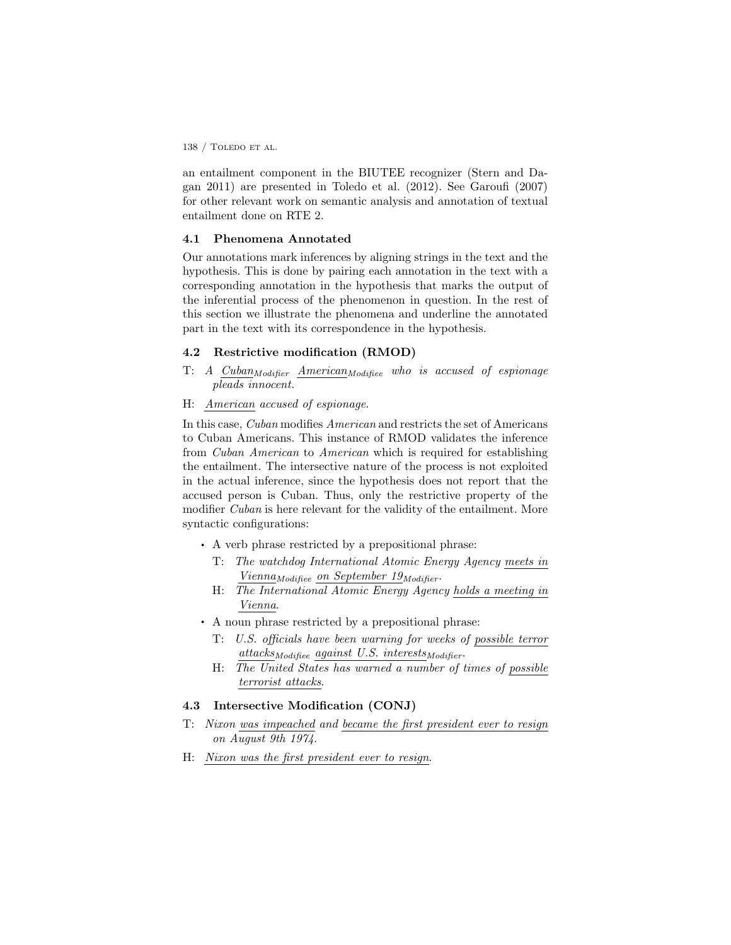an entailment component in the BIUTEE recognizer (Stern and Dagan 2011) are presented in Toledo et al. (2012). See Garoufi (2007) for other relevant work on semantic analysis and annotation of textual entailment done on RTE 2.

# 4.1 Phenomena Annotated

Our annotations mark inferences by aligning strings in the text and the hypothesis. This is done by pairing each annotation in the text with a corresponding annotation in the hypothesis that marks the output of the inferential process of the phenomenon in question. In the rest of this section we illustrate the phenomena and underline the annotated part in the text with its correspondence in the hypothesis.

# 4.2 Restrictive modification (RMOD)

T: *A CubanModifier AmericanModifiee who is accused of espionage pleads innocent.*

#### H: *American accused of espionage*.

In this case, *Cuban* modifies *American* and restricts the set of Americans to Cuban Americans. This instance of RMOD validates the inference from *Cuban American* to *American* which is required for establishing the entailment. The intersective nature of the process is not exploited in the actual inference, since the hypothesis does not report that the accused person is Cuban. Thus, only the restrictive property of the modifier *Cuban* is here relevant for the validity of the entailment. More syntactic configurations:

- . A verb phrase restricted by a prepositional phrase:
	- T: *The watchdog International Atomic Energy Agency meets in ViennaModifiee on September 19Modifier*.
	- H: *The International Atomic Energy Agency holds a meeting in Vienna*.
- . A noun phrase restricted by a prepositional phrase:
	- T: *U.S. ocials have been warning for weeks of possible terror attacksModifiee against U.S. interestsModifier*.
	- H: *The United States has warned a number of times of possible terrorist attacks*.

## 4.3 Intersective Modification (CONJ)

- T: *Nixon was impeached and became the first president ever to resign on August 9th 1974*.
- H: *Nixon was the first president ever to resign*.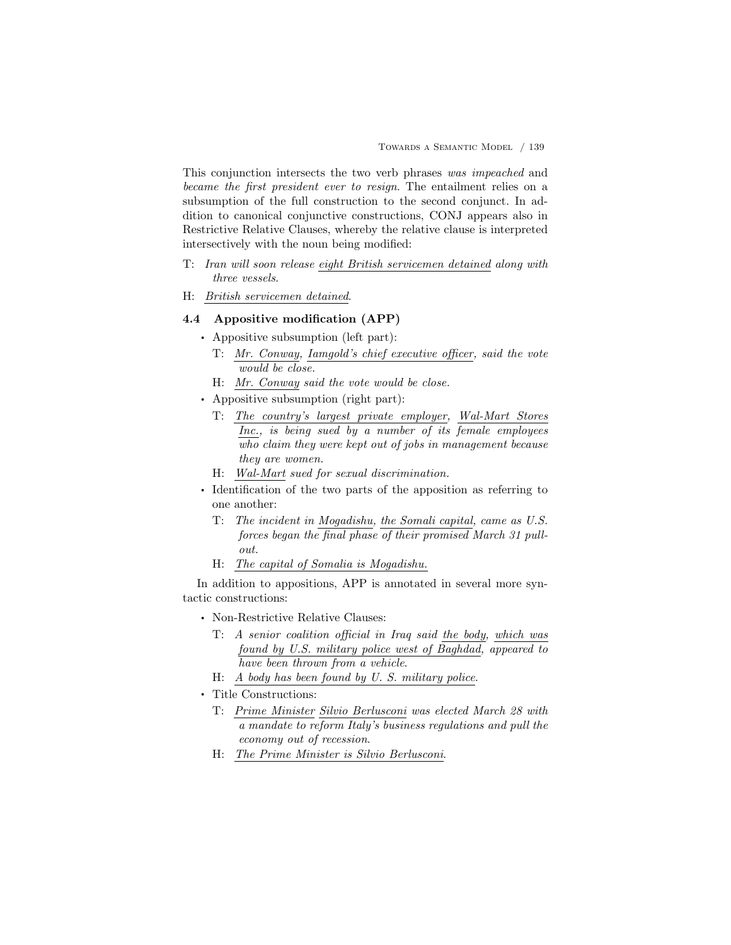This conjunction intersects the two verb phrases *was impeached* and *became the first president ever to resign*. The entailment relies on a subsumption of the full construction to the second conjunct. In addition to canonical conjunctive constructions, CONJ appears also in Restrictive Relative Clauses, whereby the relative clause is interpreted intersectively with the noun being modified:

- T: *Iran will soon release eight British servicemen detained along with three vessels*.
- H: *British servicemen detained*.

# 4.4 Appositive modification (APP)

- . Appositive subsumption (left part):
	- T: *Mr. Conway, Iamgold's chief executive ocer, said the vote would be close.*
	- H: *Mr. Conway said the vote would be close.*
- . Appositive subsumption (right part):
	- T: *The country's largest private employer, Wal-Mart Stores Inc., is being sued by a number of its female employees who claim they were kept out of jobs in management because they are women.*
	- H: *Wal-Mart sued for sexual discrimination.*
- . Identification of the two parts of the apposition as referring to one another:
	- T: *The incident in Mogadishu, the Somali capital, came as U.S. forces began the final phase of their promised March 31 pullout.*
	- H: *The capital of Somalia is Mogadishu.*

In addition to appositions, APP is annotated in several more syntactic constructions:

- . Non-Restrictive Relative Clauses:
	- T: *A senior coalition ocial in Iraq said the body, which was found by U.S. military police west of Baghdad, appeared to have been thrown from a vehicle*.
	- H: *A body has been found by U. S. military police*.
- . Title Constructions:
	- T: *Prime Minister Silvio Berlusconi was elected March 28 with a mandate to reform Italy's business regulations and pull the economy out of recession*.
	- H: *The Prime Minister is Silvio Berlusconi*.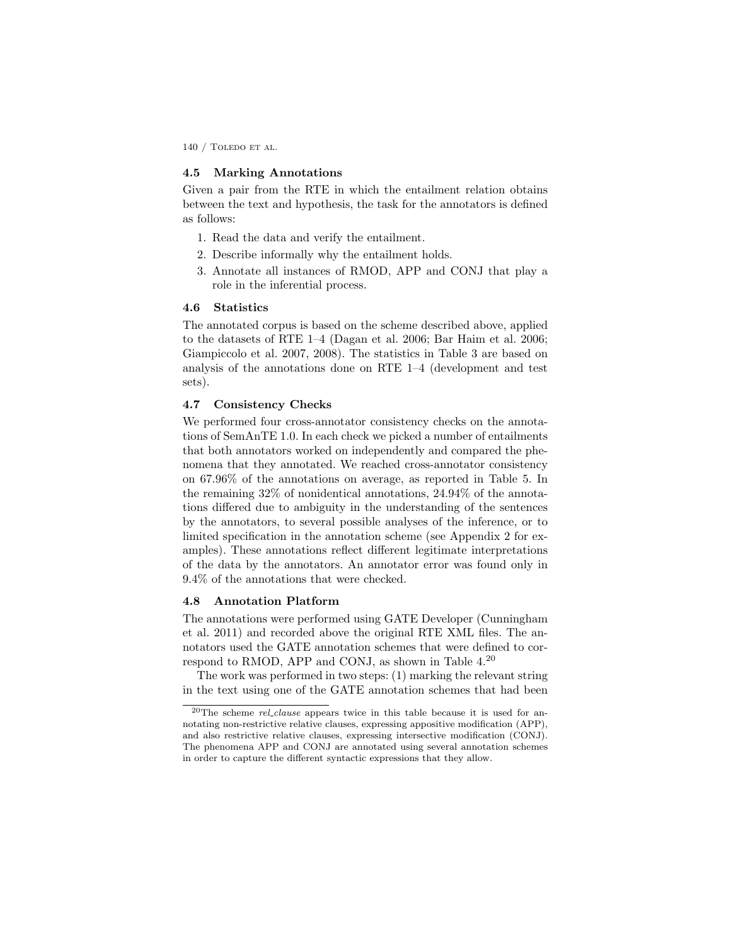#### 4.5 Marking Annotations

Given a pair from the RTE in which the entailment relation obtains between the text and hypothesis, the task for the annotators is defined as follows:

- 1. Read the data and verify the entailment.
- 2. Describe informally why the entailment holds.
- 3. Annotate all instances of RMOD, APP and CONJ that play a role in the inferential process.

## 4.6 Statistics

The annotated corpus is based on the scheme described above, applied to the datasets of RTE 1–4 (Dagan et al. 2006; Bar Haim et al. 2006; Giampiccolo et al. 2007, 2008). The statistics in Table 3 are based on analysis of the annotations done on RTE 1–4 (development and test sets).

#### 4.7 Consistency Checks

We performed four cross-annotator consistency checks on the annotations of SemAnTE 1.0. In each check we picked a number of entailments that both annotators worked on independently and compared the phenomena that they annotated. We reached cross-annotator consistency on 67.96% of the annotations on average, as reported in Table 5. In the remaining 32% of nonidentical annotations, 24.94% of the annotations differed due to ambiguity in the understanding of the sentences by the annotators, to several possible analyses of the inference, or to limited specification in the annotation scheme (see Appendix 2 for examples). These annotations reflect different legitimate interpretations of the data by the annotators. An annotator error was found only in 9.4% of the annotations that were checked.

#### 4.8 Annotation Platform

The annotations were performed using GATE Developer (Cunningham et al. 2011) and recorded above the original RTE XML files. The annotators used the GATE annotation schemes that were defined to correspond to RMOD, APP and CONJ, as shown in Table  $4.^{20}$ 

The work was performed in two steps: (1) marking the relevant string in the text using one of the GATE annotation schemes that had been

<sup>20</sup>The scheme *rel clause* appears twice in this table because it is used for annotating non-restrictive relative clauses, expressing appositive modification (APP), and also restrictive relative clauses, expressing intersective modification (CONJ). The phenomena APP and CONJ are annotated using several annotation schemes in order to capture the different syntactic expressions that they allow.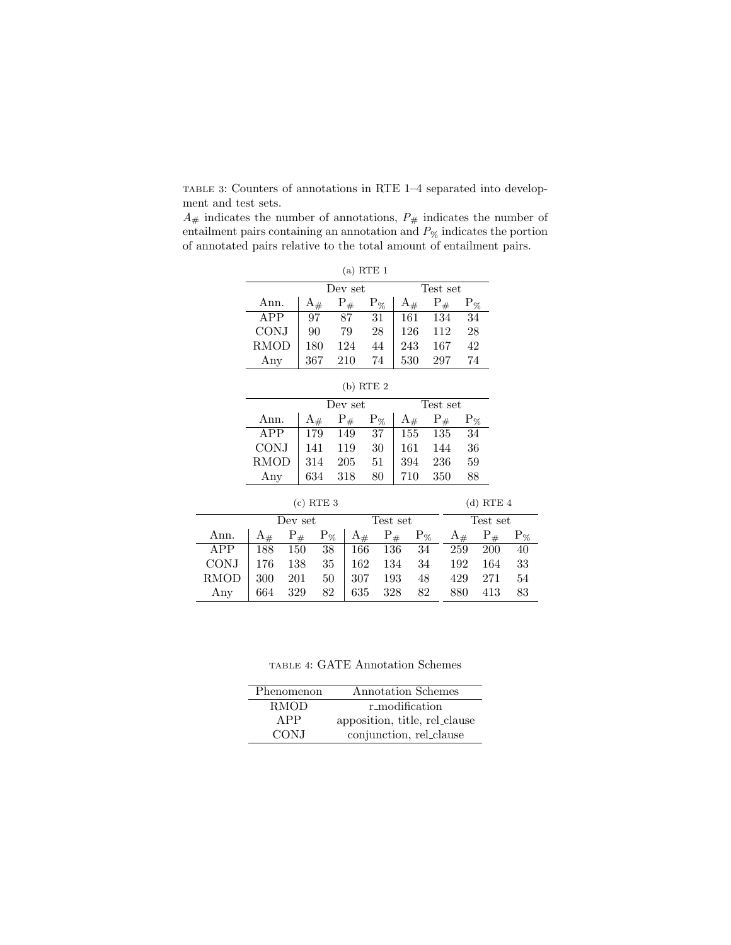TABLE 3: Counters of annotations in RTE 1–4 separated into development and test sets.

 $A_\#$  indicates the number of annotations,  $P_\#$  indicates the number of entailment pairs containing an annotation and  $P_{\%}$  indicates the portion of annotated pairs relative to the total amount of entailment pairs.

| $(a)$ RTE 1 |     |          |          |     |             |                   |  |  |
|-------------|-----|----------|----------|-----|-------------|-------------------|--|--|
|             |     | Dev set  |          |     | Test set    |                   |  |  |
| Ann.        | $+$ | $P_{\#}$ | $P_{\%}$ | A#  | $_{\rm{H}}$ | $\mathrm{P_{\%}}$ |  |  |
| APP         | 97  | 87       | 31       | 161 | 134         | 34                |  |  |
| CONJ        | 90  | 79       | 28       | 126 | 112         | 28                |  |  |

|                            | RMOD                | 180               | 124      | 44                | 243               | 167      | 42                |          |  |
|----------------------------|---------------------|-------------------|----------|-------------------|-------------------|----------|-------------------|----------|--|
|                            | Any                 | 367               | 210      | 74                | 530               | 297      | 74                |          |  |
|                            |                     |                   |          | $(b)$ RTE $2$     |                   |          |                   |          |  |
|                            |                     | Dev set           |          |                   |                   | Test set |                   |          |  |
|                            | Ann.                | $A_{\#}$          | $P_{\#}$ | $\mathrm{P}_{\%}$ | $A_{\#}$          | $P_{#}$  | $\mathrm{P}_{\%}$ |          |  |
|                            | APP                 | 179               | 149      | 37                | 155               | 135      | 34                |          |  |
|                            | <b>CONJ</b>         | 141               | 119      | 30                | 161               | 144      | 36                |          |  |
|                            | RMOD                | 314               | 205      | 51                | 394               | 236      | 59                |          |  |
|                            | Any                 | 634               | 318      | 80                | 710               | 350      | 88                |          |  |
| $(c)$ RTE 3<br>$(d)$ RTE 4 |                     |                   |          |                   |                   |          |                   |          |  |
|                            | Dev set             |                   |          | Test set          |                   |          |                   | Test set |  |
| Ann.                       | $P_{#}$<br>$A_{\#}$ | $\mathrm{P}_{\%}$ | $A_{\#}$ | $P_{#}$           | $\mathrm{P}_{\%}$ |          | $A_{\#}$          | $P_{#}$  |  |
| APP                        | 188                 | 150<br>38         | 166      | 136               | 34                |          | 259               | 200      |  |

 $\frac{P_{\%}}{40}$ 

192 164 33 429 271 54 880 413 83

TABLE 4: GATE Annotation Schemes

CONJ 176 138 35 162 134 34 RMOD 300 201 50 307 193 48 Any | 664 329 82 | 635 328 82

| Phenomenon  | Annotation Schemes            |
|-------------|-------------------------------|
| <b>RMOD</b> | r_modification                |
| APP         | apposition, title, rel_clause |
| CONJ        | conjunction, rel_clause       |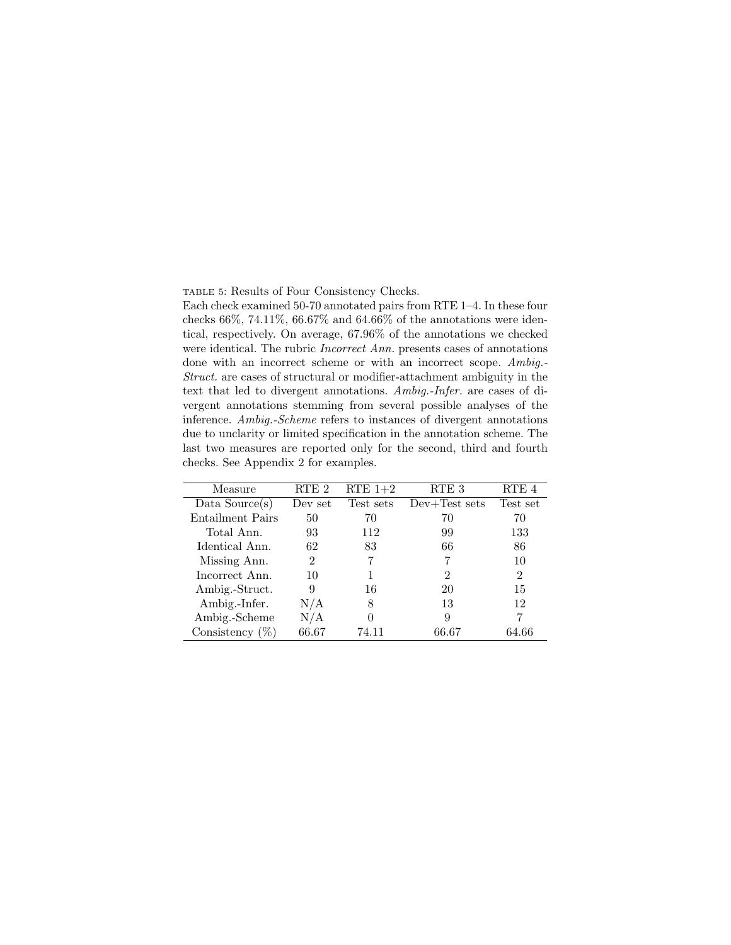TABLE 5: Results of Four Consistency Checks.

Each check examined 50-70 annotated pairs from RTE 1–4. In these four checks  $66\%, 74.11\%, 66.67\%$  and  $64.66\%$  of the annotations were identical, respectively. On average, 67.96% of the annotations we checked were identical. The rubric *Incorrect Ann.* presents cases of annotations done with an incorrect scheme or with an incorrect scope. *Ambig.- Struct.* are cases of structural or modifier-attachment ambiguity in the text that led to divergent annotations. *Ambig.-Infer.* are cases of divergent annotations stemming from several possible analyses of the inference. *Ambig.-Scheme* refers to instances of divergent annotations due to unclarity or limited specification in the annotation scheme. The last two measures are reported only for the second, third and fourth checks. See Appendix 2 for examples.

| Measure            | RTE 2   | RTE $1+2$ | RTE 3             | RTE 4    |
|--------------------|---------|-----------|-------------------|----------|
| Data Source $(s)$  | Dev set | Test sets | $Dev + Test sets$ | Test set |
| Entailment Pairs   | 50      | 70        | 70                | 70       |
| Total Ann.         | 93      | 112       | 99                | 133      |
| Identical Ann.     | 62      | 83        | 66                | 86       |
| Missing Ann.       | 2       |           | 7                 | 10       |
| Incorrect Ann.     | 10      |           | 2                 | 2        |
| Ambig.-Struct.     | 9       | 16        | 20                | 15       |
| Ambig.-Infer.      | N/A     | 8         | 13                | 12       |
| Ambig.-Scheme      | N/A     | 0         | 9                 |          |
| Consistency $(\%)$ | 66.67   | 74.11     | 66.67             | 64.66    |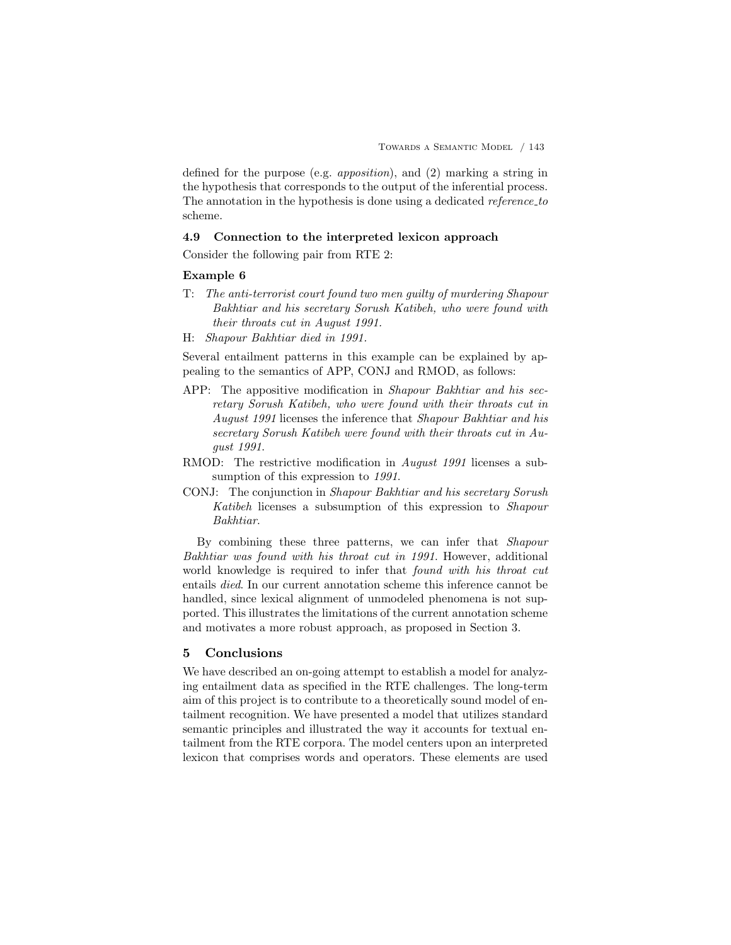defined for the purpose (e.g. *apposition*), and (2) marking a string in the hypothesis that corresponds to the output of the inferential process. The annotation in the hypothesis is done using a dedicated *reference to* scheme.

# 4.9 Connection to the interpreted lexicon approach

Consider the following pair from RTE 2:

# Example 6

- T: *The anti-terrorist court found two men guilty of murdering Shapour Bakhtiar and his secretary Sorush Katibeh, who were found with their throats cut in August 1991.*
- H: *Shapour Bakhtiar died in 1991.*

Several entailment patterns in this example can be explained by appealing to the semantics of APP, CONJ and RMOD, as follows:

- APP: The appositive modification in *Shapour Bakhtiar and his secretary Sorush Katibeh, who were found with their throats cut in August 1991* licenses the inference that *Shapour Bakhtiar and his secretary Sorush Katibeh were found with their throats cut in August 1991*.
- RMOD: The restrictive modification in *August 1991* licenses a subsumption of this expression to *1991*.
- CONJ: The conjunction in *Shapour Bakhtiar and his secretary Sorush Katibeh* licenses a subsumption of this expression to *Shapour Bakhtiar*.

By combining these three patterns, we can infer that *Shapour Bakhtiar was found with his throat cut in 1991*. However, additional world knowledge is required to infer that *found with his throat cut* entails *died*. In our current annotation scheme this inference cannot be handled, since lexical alignment of unmodeled phenomena is not supported. This illustrates the limitations of the current annotation scheme and motivates a more robust approach, as proposed in Section 3.

#### 5 Conclusions

We have described an on-going attempt to establish a model for analyzing entailment data as specified in the RTE challenges. The long-term aim of this project is to contribute to a theoretically sound model of entailment recognition. We have presented a model that utilizes standard semantic principles and illustrated the way it accounts for textual entailment from the RTE corpora. The model centers upon an interpreted lexicon that comprises words and operators. These elements are used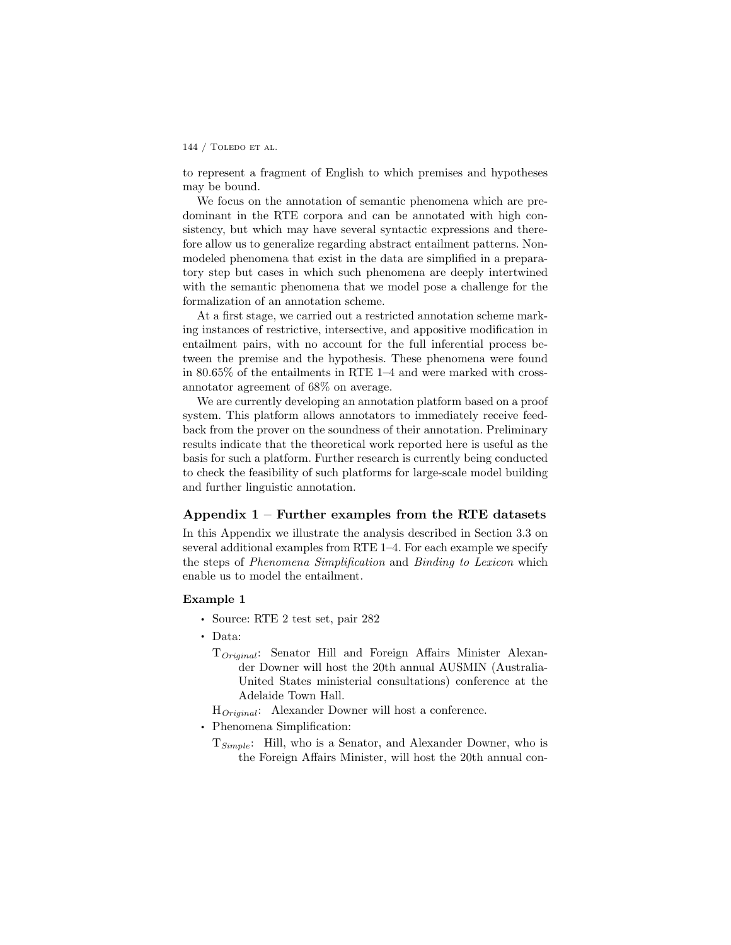#### 144 / TOLEDO ET AL.

to represent a fragment of English to which premises and hypotheses may be bound.

We focus on the annotation of semantic phenomena which are predominant in the RTE corpora and can be annotated with high consistency, but which may have several syntactic expressions and therefore allow us to generalize regarding abstract entailment patterns. Nonmodeled phenomena that exist in the data are simplified in a preparatory step but cases in which such phenomena are deeply intertwined with the semantic phenomena that we model pose a challenge for the formalization of an annotation scheme.

At a first stage, we carried out a restricted annotation scheme marking instances of restrictive, intersective, and appositive modification in entailment pairs, with no account for the full inferential process between the premise and the hypothesis. These phenomena were found in 80.65% of the entailments in RTE 1–4 and were marked with crossannotator agreement of 68% on average.

We are currently developing an annotation platform based on a proof system. This platform allows annotators to immediately receive feedback from the prover on the soundness of their annotation. Preliminary results indicate that the theoretical work reported here is useful as the basis for such a platform. Further research is currently being conducted to check the feasibility of such platforms for large-scale model building and further linguistic annotation.

## Appendix  $1$  – Further examples from the RTE datasets

In this Appendix we illustrate the analysis described in Section 3.3 on several additional examples from RTE 1–4. For each example we specify the steps of *Phenomena Simplification* and *Binding to Lexicon* which enable us to model the entailment.

## Example 1

- . Source: RTE 2 test set, pair 282
- . Data:
	- T*Original* : Senator Hill and Foreign A↵airs Minister Alexander Downer will host the 20th annual AUSMIN (Australia-United States ministerial consultations) conference at the Adelaide Town Hall.

H<sub>*Original*: Alexander Downer will host a conference.</sub>

. Phenomena Simplification:

T*Simple* : Hill, who is a Senator, and Alexander Downer, who is the Foreign Affairs Minister, will host the 20th annual con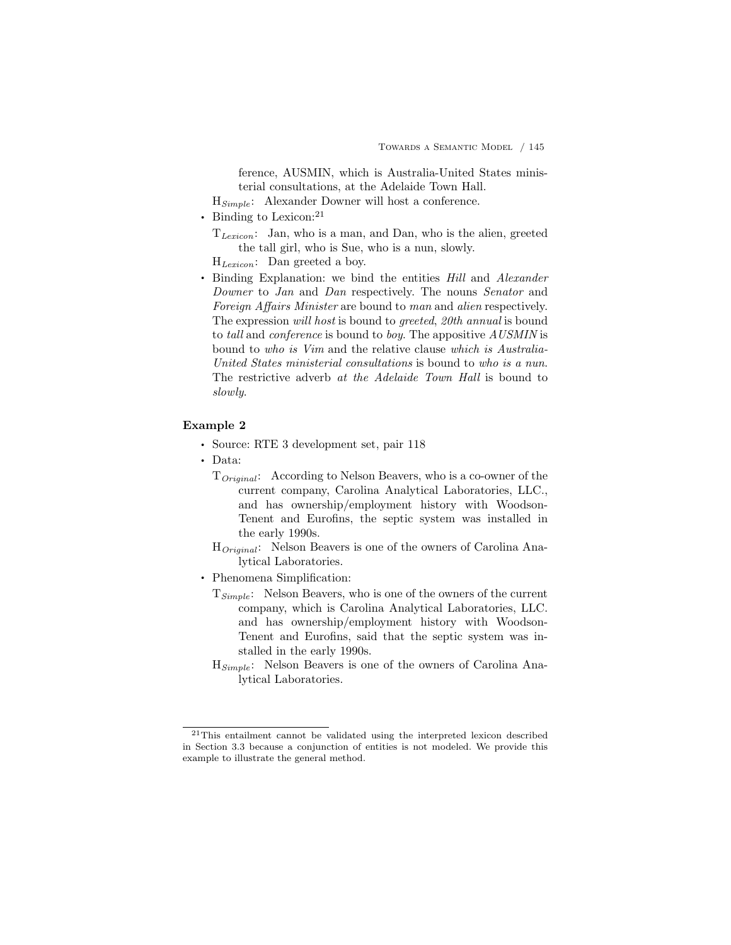ference, AUSMIN, which is Australia-United States ministerial consultations, at the Adelaide Town Hall.

H<sub>Simple</sub>: Alexander Downer will host a conference.

- $\cdot$  Binding to Lexicon:<sup>21</sup>
	- T*Lexicon*: Jan, who is a man, and Dan, who is the alien, greeted the tall girl, who is Sue, who is a nun, slowly.
	- H*Lexicon*: Dan greeted a boy.
- . Binding Explanation: we bind the entities *Hill* and *Alexander Downer* to *Jan* and *Dan* respectively. The nouns *Senator* and *Foreign Affairs Minister* are bound to *man* and *alien* respectively. The expression *will host* is bound to *greeted*, *20th annual* is bound to *tall* and *conference* is bound to *boy*. The appositive *AUSMIN* is bound to *who is Vim* and the relative clause *which is Australia-United States ministerial consultations* is bound to *who is a nun*. The restrictive adverb *at the Adelaide Town Hall* is bound to *slowly*.

# Example 2

- . Source: RTE 3 development set, pair 118
- Sourc<br>• Data:
	- T*Original* : According to Nelson Beavers, who is a co-owner of the current company, Carolina Analytical Laboratories, LLC., and has ownership/employment history with Woodson-Tenent and Eurofins, the septic system was installed in the early 1990s.
	- H<sub>*Original*: Nelson Beavers is one of the owners of Carolina Ana-</sub> lytical Laboratories.
- . Phenomena Simplification:
	- T*Simple* : Nelson Beavers, who is one of the owners of the current company, which is Carolina Analytical Laboratories, LLC. and has ownership/employment history with Woodson-Tenent and Eurofins, said that the septic system was installed in the early 1990s.
	- H*Simple* : Nelson Beavers is one of the owners of Carolina Analytical Laboratories.

<sup>21</sup>This entailment cannot be validated using the interpreted lexicon described in Section 3.3 because a conjunction of entities is not modeled. We provide this example to illustrate the general method.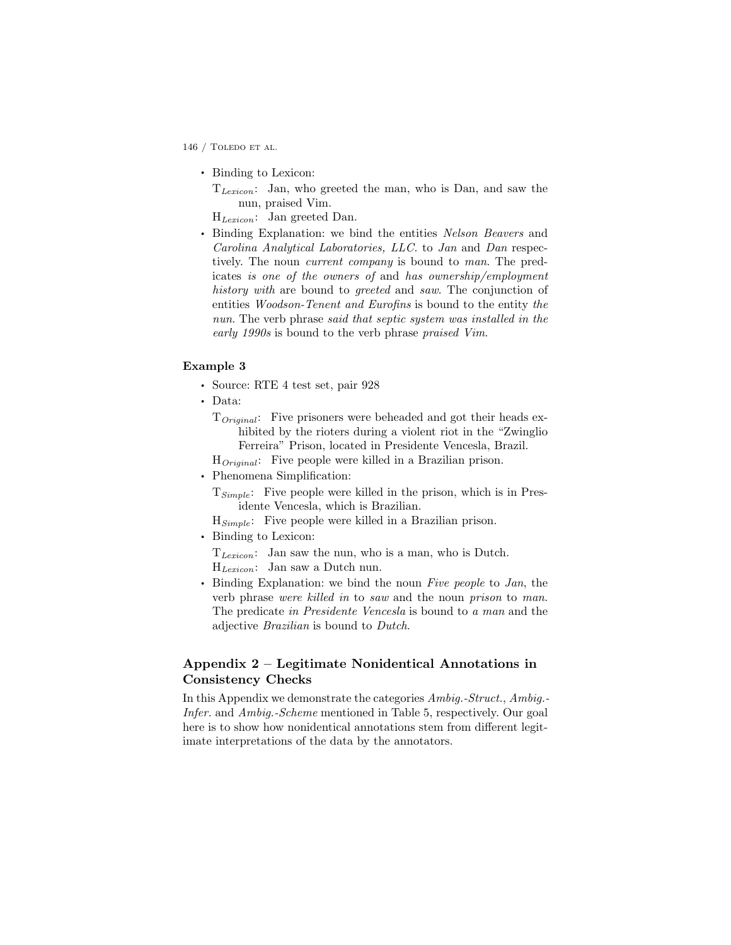. Binding to Lexicon:

T*Lexicon*: Jan, who greeted the man, who is Dan, and saw the nun, praised Vim.

H*Lexicon*: Jan greeted Dan.

. Binding Explanation: we bind the entities *Nelson Beavers* and *Carolina Analytical Laboratories, LLC.* to *Jan* and *Dan* respectively. The noun *current company* is bound to *man*. The predicates *is one of the owners of* and *has ownership/employment history with* are bound to *greeted* and *saw*. The conjunction of entities *Woodson-Tenent and Eurofins* is bound to the entity *the nun*. The verb phrase *said that septic system was installed in the early 1990s* is bound to the verb phrase *praised Vim*.

# Example 3

- . Source: RTE 4 test set, pair 928 • Sourc<br>• Data:
- - T*Original* : Five prisoners were beheaded and got their heads exhibited by the rioters during a violent riot in the "Zwinglio Ferreira" Prison, located in Presidente Vencesla, Brazil.

H<sub>*Original*: Five people were killed in a Brazilian prison.</sub>

. Phenomena Simplification:

T<sub>Simple</sub>: Five people were killed in the prison, which is in Presidente Vencesla, which is Brazilian.

H*Simple* : Five people were killed in a Brazilian prison.

. Binding to Lexicon:

T*Lexicon*: Jan saw the nun, who is a man, who is Dutch. H*Lexicon*: Jan saw a Dutch nun.

. Binding Explanation: we bind the noun *Five people* to *Jan*, the verb phrase *were killed in* to *saw* and the noun *prison* to *man*. The predicate *in Presidente Vencesla* is bound to *a man* and the adjective *Brazilian* is bound to *Dutch*.

# Appendix 2 – Legitimate Nonidentical Annotations in Consistency Checks

In this Appendix we demonstrate the categories *Ambig.-Struct.*, *Ambig.- Infer.* and *Ambig.-Scheme* mentioned in Table 5, respectively. Our goal here is to show how nonidentical annotations stem from different legitimate interpretations of the data by the annotators.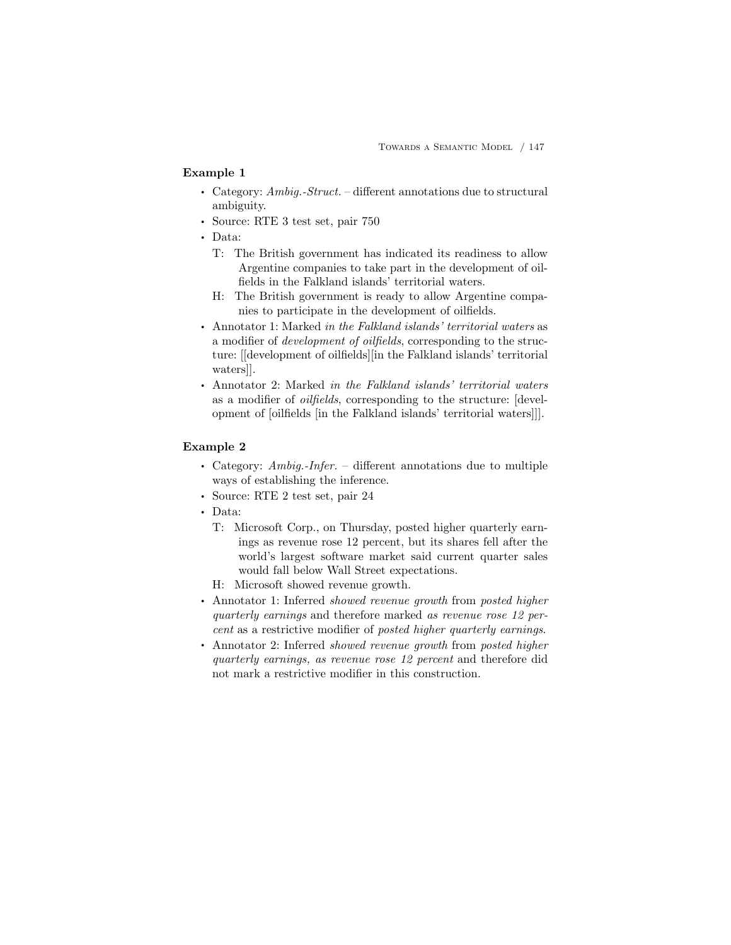# Example 1

- $\cdot$  Category: *Ambig.-Struct.* different annotations due to structural ambiguity.
- . Source: RTE 3 test set, pair 750
- . Data:
	- T: The British government has indicated its readiness to allow Argentine companies to take part in the development of oilfields in the Falkland islands' territorial waters.
	- H: The British government is ready to allow Argentine companies to participate in the development of oilfields.
- . Annotator 1: Marked *in the Falkland islands' territorial waters* as a modifier of *development of oilfields*, corresponding to the structure: [[development of oilfields][in the Falkland islands' territorial waters]].
- . Annotator 2: Marked *in the Falkland islands' territorial waters* as a modifier of *oilfields*, corresponding to the structure: [development of [oilfields [in the Falkland islands' territorial waters]]].

# Example 2

- $\cdot$  Category: *Ambig.-Infer.* different annotations due to multiple ways of establishing the inference.
- . Source: RTE 2 test set, pair 24
- . Data:
	- T: Microsoft Corp., on Thursday, posted higher quarterly earnings as revenue rose 12 percent, but its shares fell after the world's largest software market said current quarter sales would fall below Wall Street expectations.
	- H: Microsoft showed revenue growth.
- . Annotator 1: Inferred *showed revenue growth* from *posted higher quarterly earnings* and therefore marked *as revenue rose 12 percent* as a restrictive modifier of *posted higher quarterly earnings*.
- . Annotator 2: Inferred *showed revenue growth* from *posted higher quarterly earnings, as revenue rose 12 percent* and therefore did not mark a restrictive modifier in this construction.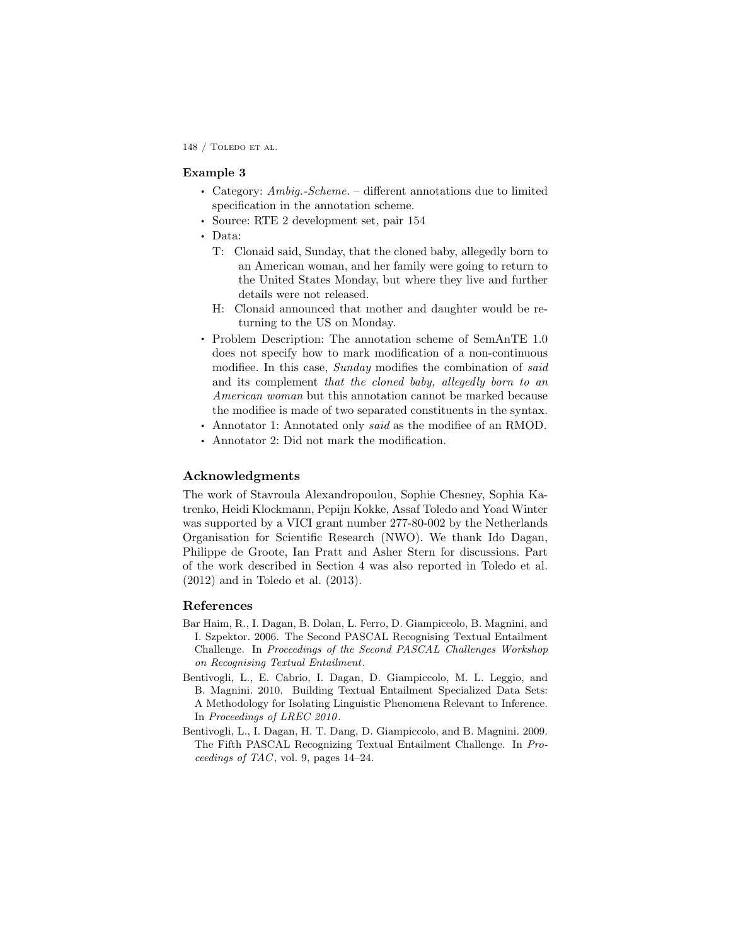#### Example 3

- $\cdot$  Category: *Ambig.-Scheme.* different annotations due to limited specification in the annotation scheme.
- % specification in the annotation scheme. <br> Source: RTE 2 development set, pair 154
- Sourc<br>• Data:
	- T: Clonaid said, Sunday, that the cloned baby, allegedly born to an American woman, and her family were going to return to the United States Monday, but where they live and further details were not released.
	- H: Clonaid announced that mother and daughter would be returning to the US on Monday.
- . Problem Description: The annotation scheme of SemAnTE 1.0 does not specify how to mark modification of a non-continuous modifiee. In this case, *Sunday* modifies the combination of *said* and its complement *that the cloned baby, allegedly born to an American woman* but this annotation cannot be marked because the modifiee is made of two separated constituents in the syntax.
- . Annotator 1: Annotated only *said* as the modifiee of an RMOD.
- . Annotator 2: Did not mark the modification.

# Acknowledgments

The work of Stavroula Alexandropoulou, Sophie Chesney, Sophia Katrenko, Heidi Klockmann, Pepijn Kokke, Assaf Toledo and Yoad Winter was supported by a VICI grant number 277-80-002 by the Netherlands Organisation for Scientific Research (NWO). We thank Ido Dagan, Philippe de Groote, Ian Pratt and Asher Stern for discussions. Part of the work described in Section 4 was also reported in Toledo et al. (2012) and in Toledo et al. (2013).

#### References

- Bar Haim, R., I. Dagan, B. Dolan, L. Ferro, D. Giampiccolo, B. Magnini, and I. Szpektor. 2006. The Second PASCAL Recognising Textual Entailment Challenge. In *Proceedings of the Second PASCAL Challenges Workshop on Recognising Textual Entailment*.
- Bentivogli, L., E. Cabrio, I. Dagan, D. Giampiccolo, M. L. Leggio, and B. Magnini. 2010. Building Textual Entailment Specialized Data Sets: A Methodology for Isolating Linguistic Phenomena Relevant to Inference. In *Proceedings of LREC 2010* .
- Bentivogli, L., I. Dagan, H. T. Dang, D. Giampiccolo, and B. Magnini. 2009. The Fifth PASCAL Recognizing Textual Entailment Challenge. In *Proceedings of TAC*, vol. 9, pages 14–24.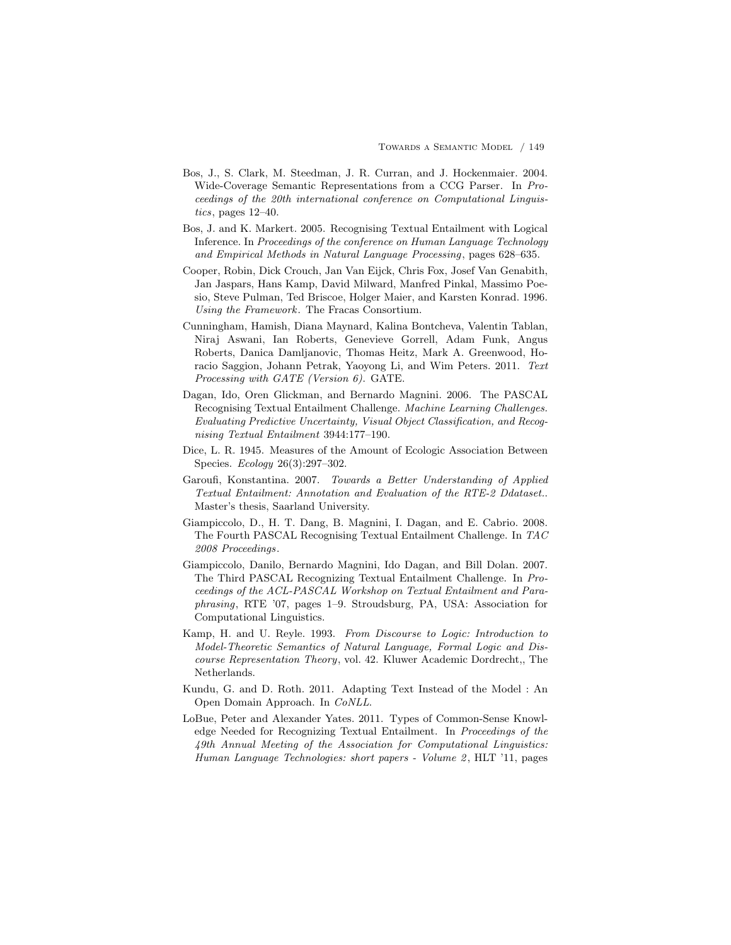- Bos, J., S. Clark, M. Steedman, J. R. Curran, and J. Hockenmaier. 2004. Wide-Coverage Semantic Representations from a CCG Parser. In *Proceedings of the 20th international conference on Computational Linguistics*, pages 12–40.
- Bos, J. and K. Markert. 2005. Recognising Textual Entailment with Logical Inference. In *Proceedings of the conference on Human Language Technology and Empirical Methods in Natural Language Processing*, pages 628–635.
- Cooper, Robin, Dick Crouch, Jan Van Eijck, Chris Fox, Josef Van Genabith, Jan Jaspars, Hans Kamp, David Milward, Manfred Pinkal, Massimo Poesio, Steve Pulman, Ted Briscoe, Holger Maier, and Karsten Konrad. 1996. *Using the Framework*. The Fracas Consortium.
- Cunningham, Hamish, Diana Maynard, Kalina Bontcheva, Valentin Tablan, Niraj Aswani, Ian Roberts, Genevieve Gorrell, Adam Funk, Angus Roberts, Danica Damljanovic, Thomas Heitz, Mark A. Greenwood, Horacio Saggion, Johann Petrak, Yaoyong Li, and Wim Peters. 2011. *Text Processing with GATE (Version 6)*. GATE.
- Dagan, Ido, Oren Glickman, and Bernardo Magnini. 2006. The PASCAL Recognising Textual Entailment Challenge. *Machine Learning Challenges. Evaluating Predictive Uncertainty, Visual Object Classification, and Recognising Textual Entailment* 3944:177–190.
- Dice, L. R. 1945. Measures of the Amount of Ecologic Association Between Species. *Ecology* 26(3):297–302.
- Garoufi, Konstantina. 2007. *Towards a Better Understanding of Applied Textual Entailment: Annotation and Evaluation of the RTE-2 Ddataset.*. Master's thesis, Saarland University.
- Giampiccolo, D., H. T. Dang, B. Magnini, I. Dagan, and E. Cabrio. 2008. The Fourth PASCAL Recognising Textual Entailment Challenge. In *TAC 2008 Proceedings*.
- Giampiccolo, Danilo, Bernardo Magnini, Ido Dagan, and Bill Dolan. 2007. The Third PASCAL Recognizing Textual Entailment Challenge. In *Proceedings of the ACL-PASCAL Workshop on Textual Entailment and Paraphrasing*, RTE '07, pages 1–9. Stroudsburg, PA, USA: Association for Computational Linguistics.
- Kamp, H. and U. Reyle. 1993. *From Discourse to Logic: Introduction to Model-Theoretic Semantics of Natural Language, Formal Logic and Discourse Representation Theory*, vol. 42. Kluwer Academic Dordrecht,, The Netherlands.
- Kundu, G. and D. Roth. 2011. Adapting Text Instead of the Model : An Open Domain Approach. In *CoNLL*.
- LoBue, Peter and Alexander Yates. 2011. Types of Common-Sense Knowledge Needed for Recognizing Textual Entailment. In *Proceedings of the 49th Annual Meeting of the Association for Computational Linguistics: Human Language Technologies: short papers - Volume 2* , HLT '11, pages